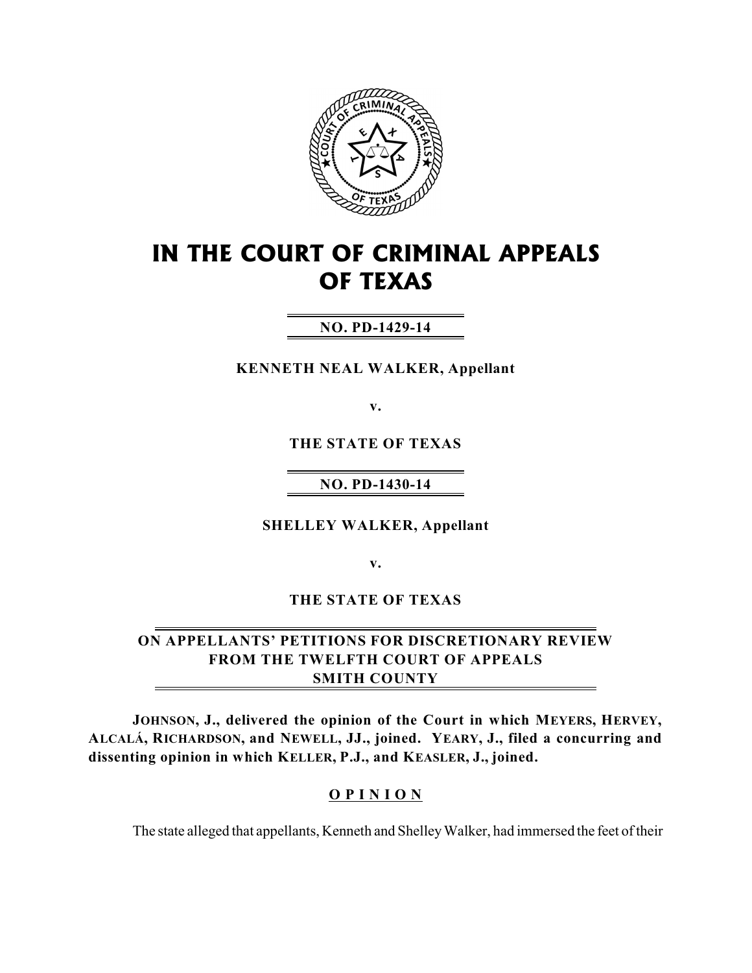

# **IN THE COURT OF CRIMINAL APPEALS OF TEXAS**

# **NO. PD-1429-14**

**KENNETH NEAL WALKER, Appellant**

**v.**

**THE STATE OF TEXAS**

## **NO. PD-1430-14**

**SHELLEY WALKER, Appellant**

**v.**

**THE STATE OF TEXAS**

## **ON APPELLANTS' PETITIONS FOR DISCRETIONARY REVIEW FROM THE TWELFTH COURT OF APPEALS SMITH COUNTY**

**JOHNSON, J., delivered the opinion of the Court in which MEYERS, HERVEY, ALCALÁ, RICHARDSON, and NEWELL, JJ., joined. YEARY, J., filed a concurring and dissenting opinion in which KELLER, P.J., and KEASLER, J., joined.**

## **O P I N I O N**

The state alleged that appellants, Kenneth and Shelley Walker, had immersed the feet of their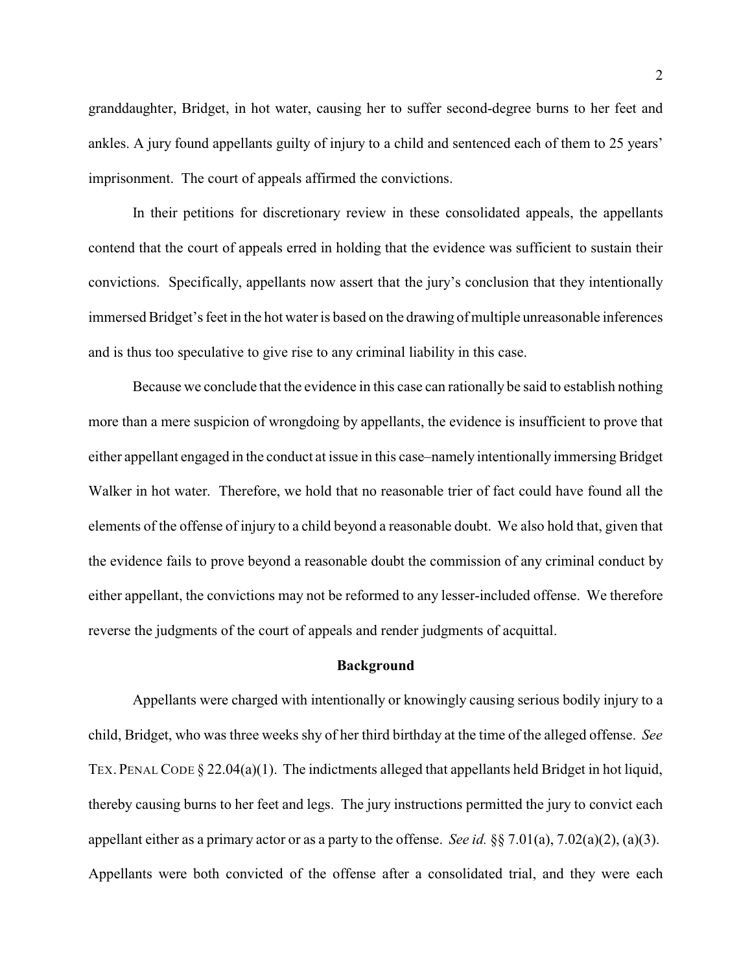granddaughter, Bridget, in hot water, causing her to suffer second-degree burns to her feet and ankles. A jury found appellants guilty of injury to a child and sentenced each of them to 25 years' imprisonment. The court of appeals affirmed the convictions.

In their petitions for discretionary review in these consolidated appeals, the appellants contend that the court of appeals erred in holding that the evidence was sufficient to sustain their convictions. Specifically, appellants now assert that the jury's conclusion that they intentionally immersed Bridget's feet in the hot wateris based on the drawing of multiple unreasonable inferences and is thus too speculative to give rise to any criminal liability in this case.

Because we conclude that the evidence in this case can rationally be said to establish nothing more than a mere suspicion of wrongdoing by appellants, the evidence is insufficient to prove that either appellant engaged in the conduct at issue in this case–namely intentionally immersing Bridget Walker in hot water. Therefore, we hold that no reasonable trier of fact could have found all the elements of the offense of injury to a child beyond a reasonable doubt. We also hold that, given that the evidence fails to prove beyond a reasonable doubt the commission of any criminal conduct by either appellant, the convictions may not be reformed to any lesser-included offense. We therefore reverse the judgments of the court of appeals and render judgments of acquittal.

#### **Background**

Appellants were charged with intentionally or knowingly causing serious bodily injury to a child, Bridget, who was three weeks shy of her third birthday at the time of the alleged offense. *See* TEX. PENAL CODE § 22.04(a)(1). The indictments alleged that appellants held Bridget in hot liquid, thereby causing burns to her feet and legs. The jury instructions permitted the jury to convict each appellant either as a primary actor or as a party to the offense. *See id.* §§ 7.01(a), 7.02(a)(2), (a)(3). Appellants were both convicted of the offense after a consolidated trial, and they were each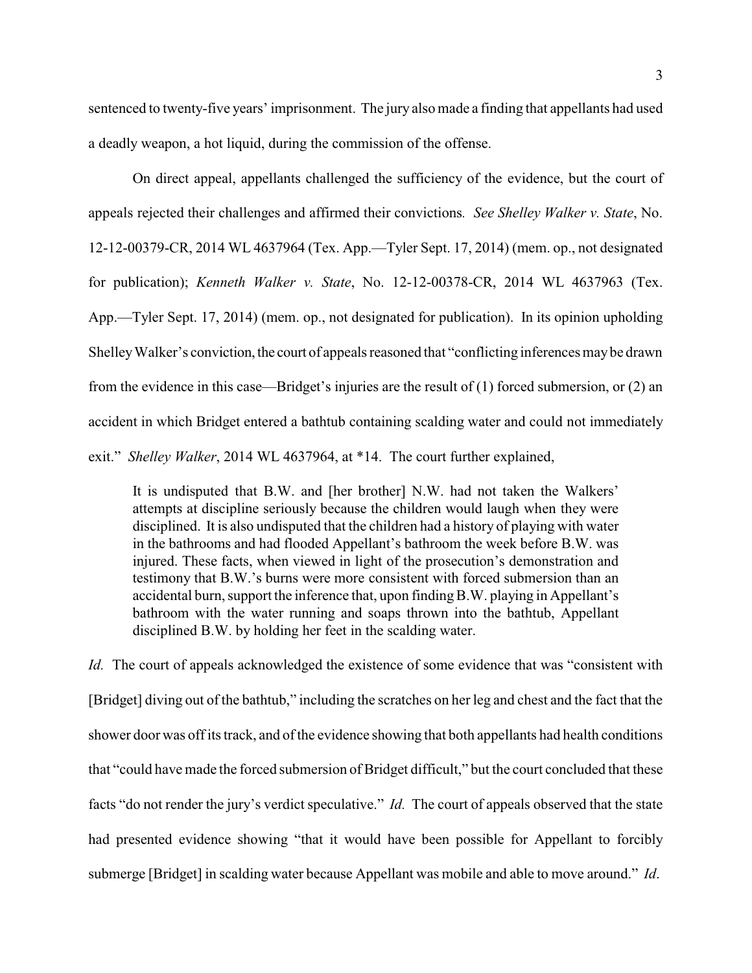sentenced to twenty-five years' imprisonment. The jury also made a finding that appellants had used

On direct appeal, appellants challenged the sufficiency of the evidence, but the court of appeals rejected their challenges and affirmed their convictions*. See Shelley Walker v. State*, No. 12-12-00379-CR, 2014 WL 4637964 (Tex. App.—Tyler Sept. 17, 2014) (mem. op., not designated for publication); *Kenneth Walker v. State*, No. 12-12-00378-CR, 2014 WL 4637963 (Tex.

App.—Tyler Sept. 17, 2014) (mem. op., not designated for publication). In its opinion upholding Shelley Walker's conviction, the court of appeals reasoned that "conflicting inferences may be drawn"

from the evidence in this case—Bridget's injuries are the result of (1) forced submersion, or (2) an

accident in which Bridget entered a bathtub containing scalding water and could not immediately

exit." *Shelley Walker*, 2014 WL 4637964, at \*14. The court further explained,

a deadly weapon, a hot liquid, during the commission of the offense.

It is undisputed that B.W. and [her brother] N.W. had not taken the Walkers' attempts at discipline seriously because the children would laugh when they were disciplined. It is also undisputed that the children had a history of playing with water in the bathrooms and had flooded Appellant's bathroom the week before B.W. was injured. These facts, when viewed in light of the prosecution's demonstration and testimony that B.W.'s burns were more consistent with forced submersion than an accidental burn, support the inference that, upon findingB.W. playing in Appellant's bathroom with the water running and soaps thrown into the bathtub, Appellant disciplined B.W. by holding her feet in the scalding water.

*Id.* The court of appeals acknowledged the existence of some evidence that was "consistent with [Bridget] diving out of the bathtub," including the scratches on her leg and chest and the fact that the shower door was off its track, and of the evidence showing that both appellants had health conditions that "could have made the forced submersion of Bridget difficult," but the court concluded that these facts "do not render the jury's verdict speculative." *Id.* The court of appeals observed that the state had presented evidence showing "that it would have been possible for Appellant to forcibly submerge [Bridget] in scalding water because Appellant was mobile and able to move around." *Id*.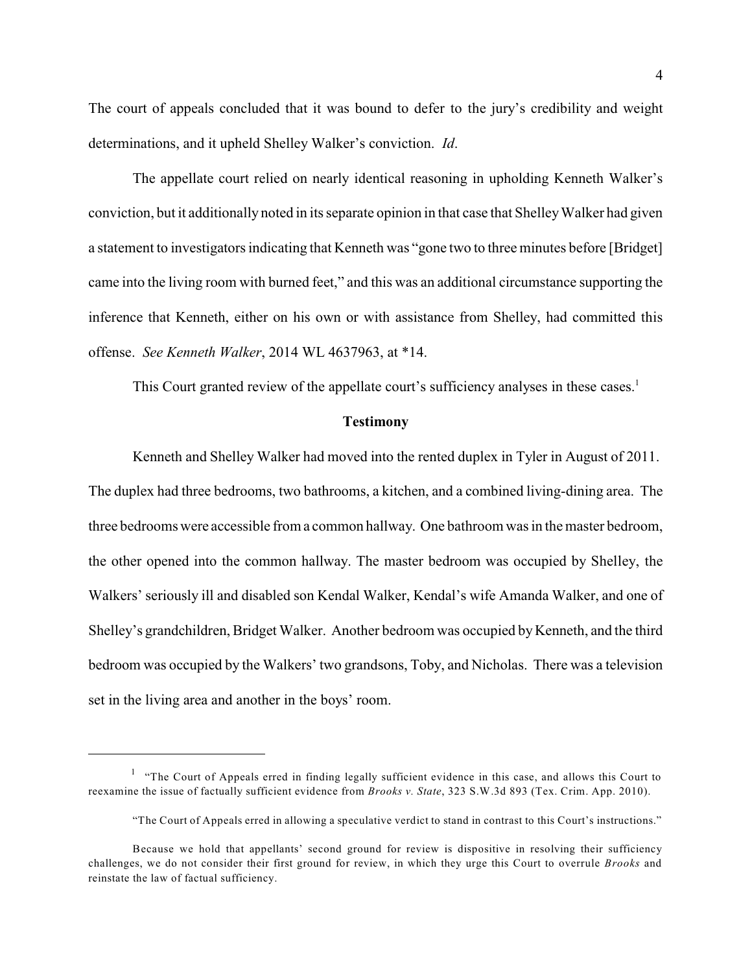The court of appeals concluded that it was bound to defer to the jury's credibility and weight determinations, and it upheld Shelley Walker's conviction. *Id*.

The appellate court relied on nearly identical reasoning in upholding Kenneth Walker's conviction, but it additionally noted in its separate opinion in that case that Shelley Walker had given a statement to investigators indicating that Kenneth was "gone two to three minutes before [Bridget] came into the living room with burned feet," and this was an additional circumstance supporting the inference that Kenneth, either on his own or with assistance from Shelley, had committed this offense. *See Kenneth Walker*, 2014 WL 4637963, at \*14.

This Court granted review of the appellate court's sufficiency analyses in these cases.<sup>1</sup>

#### **Testimony**

Kenneth and Shelley Walker had moved into the rented duplex in Tyler in August of 2011. The duplex had three bedrooms, two bathrooms, a kitchen, and a combined living-dining area. The three bedrooms were accessible from a common hallway. One bathroom was in the master bedroom, the other opened into the common hallway. The master bedroom was occupied by Shelley, the Walkers' seriously ill and disabled son Kendal Walker, Kendal's wife Amanda Walker, and one of Shelley's grandchildren, Bridget Walker. Another bedroom was occupied by Kenneth, and the third bedroom was occupied by the Walkers' two grandsons, Toby, and Nicholas. There was a television set in the living area and another in the boys' room.

 $1$  "The Court of Appeals erred in finding legally sufficient evidence in this case, and allows this Court to reexamine the issue of factually sufficient evidence from *Brooks v. State*, 323 S.W.3d 893 (Tex. Crim. App. 2010).

<sup>&</sup>quot;The Court of Appeals erred in allowing a speculative verdict to stand in contrast to this Court's instructions."

Because we hold that appellants' second ground for review is dispositive in resolving their sufficiency challenges, we do not consider their first ground for review, in which they urge this Court to overrule *Brooks* and reinstate the law of factual sufficiency.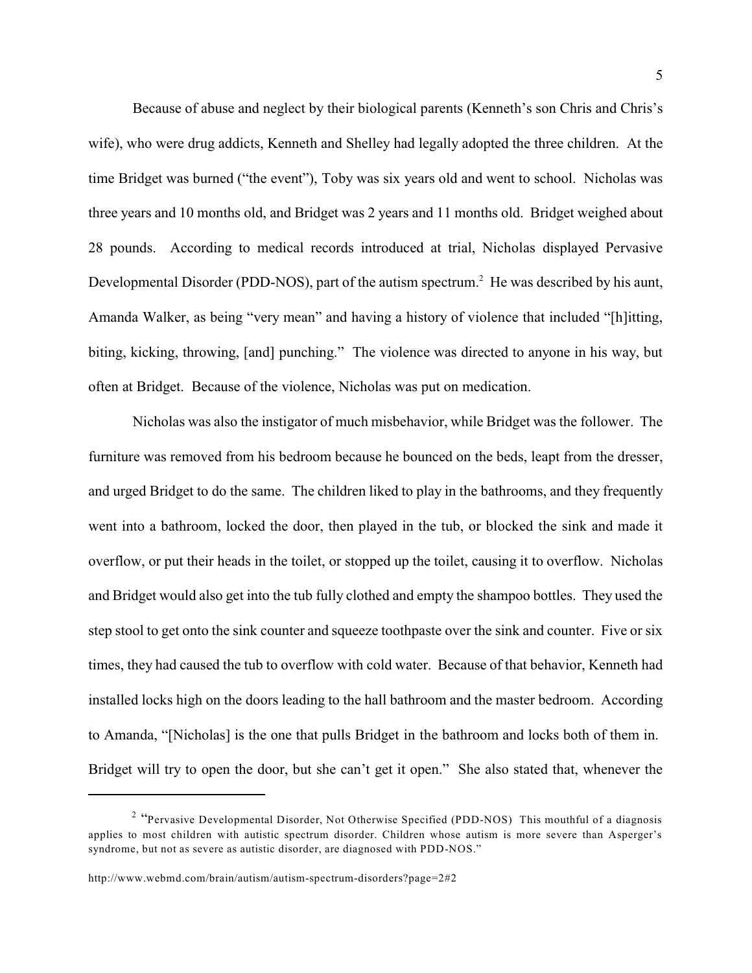Because of abuse and neglect by their biological parents (Kenneth's son Chris and Chris's wife), who were drug addicts, Kenneth and Shelley had legally adopted the three children. At the time Bridget was burned ("the event"), Toby was six years old and went to school. Nicholas was three years and 10 months old, and Bridget was 2 years and 11 months old. Bridget weighed about 28 pounds. According to medical records introduced at trial, Nicholas displayed Pervasive Developmental Disorder (PDD-NOS), part of the autism spectrum.<sup>2</sup> He was described by his aunt, Amanda Walker, as being "very mean" and having a history of violence that included "[h]itting, biting, kicking, throwing, [and] punching." The violence was directed to anyone in his way, but often at Bridget. Because of the violence, Nicholas was put on medication.

Nicholas was also the instigator of much misbehavior, while Bridget was the follower. The furniture was removed from his bedroom because he bounced on the beds, leapt from the dresser, and urged Bridget to do the same. The children liked to play in the bathrooms, and they frequently went into a bathroom, locked the door, then played in the tub, or blocked the sink and made it overflow, or put their heads in the toilet, or stopped up the toilet, causing it to overflow. Nicholas and Bridget would also get into the tub fully clothed and empty the shampoo bottles. They used the step stool to get onto the sink counter and squeeze toothpaste over the sink and counter. Five or six times, they had caused the tub to overflow with cold water. Because of that behavior, Kenneth had installed locks high on the doors leading to the hall bathroom and the master bedroom. According to Amanda, "[Nicholas] is the one that pulls Bridget in the bathroom and locks both of them in. Bridget will try to open the door, but she can't get it open." She also stated that, whenever the

<sup>&</sup>lt;sup>2</sup> "Pervasive Developmental Disorder, Not Otherwise Specified (PDD-NOS) This mouthful of a diagnosis applies to most children with autistic spectrum disorder. Children whose autism is more severe than Asperger's syndrome, but not as severe as autistic disorder, are diagnosed with PDD-NOS."

http://www.webmd.com/brain/autism/autism-spectrum-disorders?page=2#2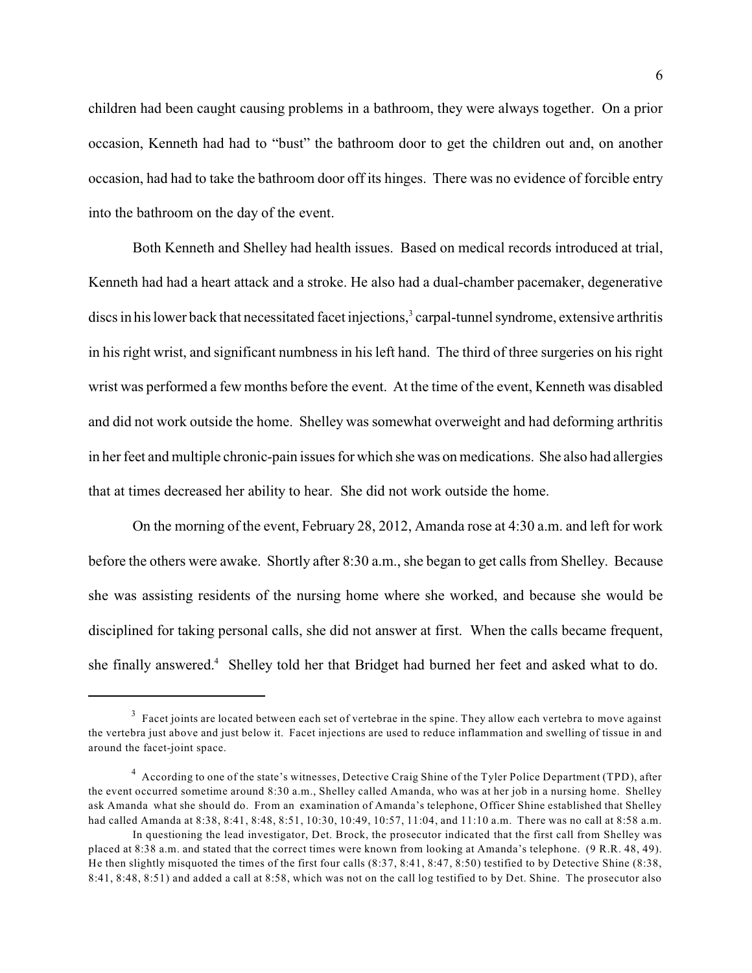children had been caught causing problems in a bathroom, they were always together. On a prior occasion, Kenneth had had to "bust" the bathroom door to get the children out and, on another occasion, had had to take the bathroom door off its hinges. There was no evidence of forcible entry into the bathroom on the day of the event.

Both Kenneth and Shelley had health issues. Based on medical records introduced at trial, Kenneth had had a heart attack and a stroke. He also had a dual-chamber pacemaker, degenerative discs in his lower back that necessitated facet injections, $3$  carpal-tunnel syndrome, extensive arthritis in his right wrist, and significant numbness in his left hand. The third of three surgeries on his right wrist was performed a few months before the event. At the time of the event, Kenneth was disabled and did not work outside the home. Shelley was somewhat overweight and had deforming arthritis in her feet and multiple chronic-pain issues for which she was on medications. She also had allergies that at times decreased her ability to hear. She did not work outside the home.

On the morning of the event, February 28, 2012, Amanda rose at 4:30 a.m. and left for work before the others were awake. Shortly after 8:30 a.m., she began to get calls from Shelley. Because she was assisting residents of the nursing home where she worked, and because she would be disciplined for taking personal calls, she did not answer at first. When the calls became frequent, she finally answered.<sup>4</sup> Shelley told her that Bridget had burned her feet and asked what to do.

 $3$  Facet joints are located between each set of vertebrae in the spine. They allow each vertebra to move against the vertebra just above and just below it. Facet injections are used to reduce inflammation and swelling of tissue in and around the facet-joint space.

 $4$  According to one of the state's witnesses, Detective Craig Shine of the Tyler Police Department (TPD), after the event occurred sometime around 8:30 a.m., Shelley called Amanda, who was at her job in a nursing home. Shelley ask Amanda what she should do. From an examination of Amanda's telephone, Officer Shine established that Shelley had called Amanda at 8:38, 8:41, 8:48, 8:51, 10:30, 10:49, 10:57, 11:04, and 11:10 a.m. There was no call at 8:58 a.m.

In questioning the lead investigator, Det. Brock, the prosecutor indicated that the first call from Shelley was placed at 8:38 a.m. and stated that the correct times were known from looking at Amanda's telephone. (9 R.R. 48, 49). He then slightly misquoted the times of the first four calls (8:37, 8:41, 8:47, 8:50) testified to by Detective Shine (8:38, 8:41, 8:48, 8:51) and added a call at 8:58, which was not on the call log testified to by Det. Shine. The prosecutor also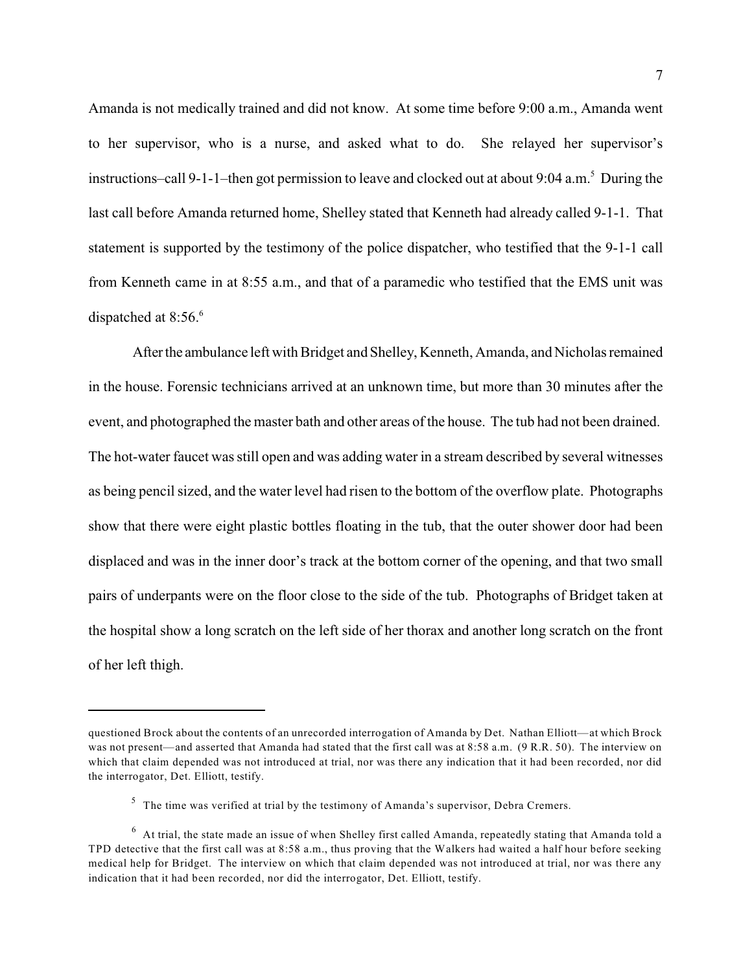Amanda is not medically trained and did not know. At some time before 9:00 a.m., Amanda went to her supervisor, who is a nurse, and asked what to do. She relayed her supervisor's instructions–call 9-1-1–then got permission to leave and clocked out at about 9:04 a.m.<sup>5</sup> During the last call before Amanda returned home, Shelley stated that Kenneth had already called 9-1-1. That statement is supported by the testimony of the police dispatcher, who testified that the 9-1-1 call from Kenneth came in at 8:55 a.m., and that of a paramedic who testified that the EMS unit was dispatched at  $8:56<sup>6</sup>$ 

Afterthe ambulance left with Bridget and Shelley, Kenneth, Amanda, and Nicholas remained in the house. Forensic technicians arrived at an unknown time, but more than 30 minutes after the event, and photographed the master bath and other areas of the house. The tub had not been drained. The hot-water faucet was still open and was adding water in a stream described by several witnesses as being pencil sized, and the water level had risen to the bottom of the overflow plate. Photographs show that there were eight plastic bottles floating in the tub, that the outer shower door had been displaced and was in the inner door's track at the bottom corner of the opening, and that two small pairs of underpants were on the floor close to the side of the tub. Photographs of Bridget taken at the hospital show a long scratch on the left side of her thorax and another long scratch on the front of her left thigh.

questioned Brock about the contents of an unrecorded interrogation of Amanda by Det. Nathan Elliott—at which Brock was not present—and asserted that Amanda had stated that the first call was at 8:58 a.m. (9 R.R. 50). The interview on which that claim depended was not introduced at trial, nor was there any indication that it had been recorded, nor did the interrogator, Det. Elliott, testify.

 $5$  The time was verified at trial by the testimony of Amanda's supervisor, Debra Cremers.

 $^6$  At trial, the state made an issue of when Shelley first called Amanda, repeatedly stating that Amanda told a TPD detective that the first call was at 8:58 a.m., thus proving that the Walkers had waited a half hour before seeking medical help for Bridget. The interview on which that claim depended was not introduced at trial, nor was there any indication that it had been recorded, nor did the interrogator, Det. Elliott, testify.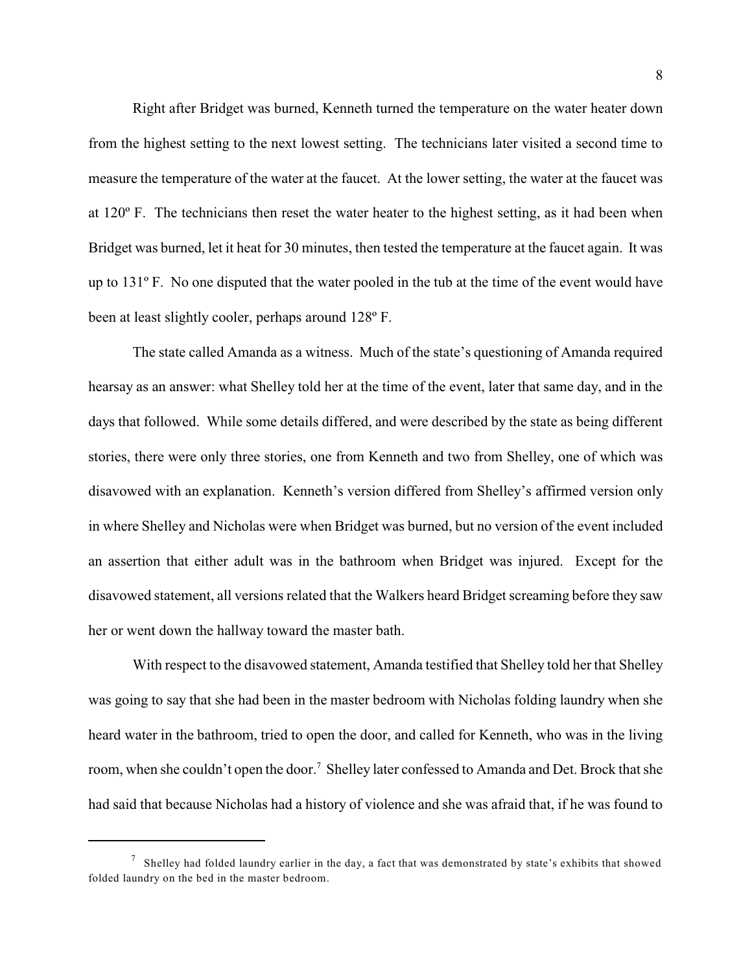Right after Bridget was burned, Kenneth turned the temperature on the water heater down from the highest setting to the next lowest setting. The technicians later visited a second time to measure the temperature of the water at the faucet. At the lower setting, the water at the faucet was at 120º F. The technicians then reset the water heater to the highest setting, as it had been when Bridget was burned, let it heat for 30 minutes, then tested the temperature at the faucet again. It was up to 131º F. No one disputed that the water pooled in the tub at the time of the event would have been at least slightly cooler, perhaps around 128º F.

The state called Amanda as a witness. Much of the state's questioning of Amanda required hearsay as an answer: what Shelley told her at the time of the event, later that same day, and in the days that followed. While some details differed, and were described by the state as being different stories, there were only three stories, one from Kenneth and two from Shelley, one of which was disavowed with an explanation. Kenneth's version differed from Shelley's affirmed version only in where Shelley and Nicholas were when Bridget was burned, but no version of the event included an assertion that either adult was in the bathroom when Bridget was injured. Except for the disavowed statement, all versions related that the Walkers heard Bridget screaming before they saw her or went down the hallway toward the master bath.

With respect to the disavowed statement, Amanda testified that Shelley told her that Shelley was going to say that she had been in the master bedroom with Nicholas folding laundry when she heard water in the bathroom, tried to open the door, and called for Kenneth, who was in the living room, when she couldn't open the door.<sup>7</sup> Shelley later confessed to Amanda and Det. Brock that she had said that because Nicholas had a history of violence and she was afraid that, if he was found to

 $\frac{7}{1}$  Shelley had folded laundry earlier in the day, a fact that was demonstrated by state's exhibits that showed folded laundry on the bed in the master bedroom.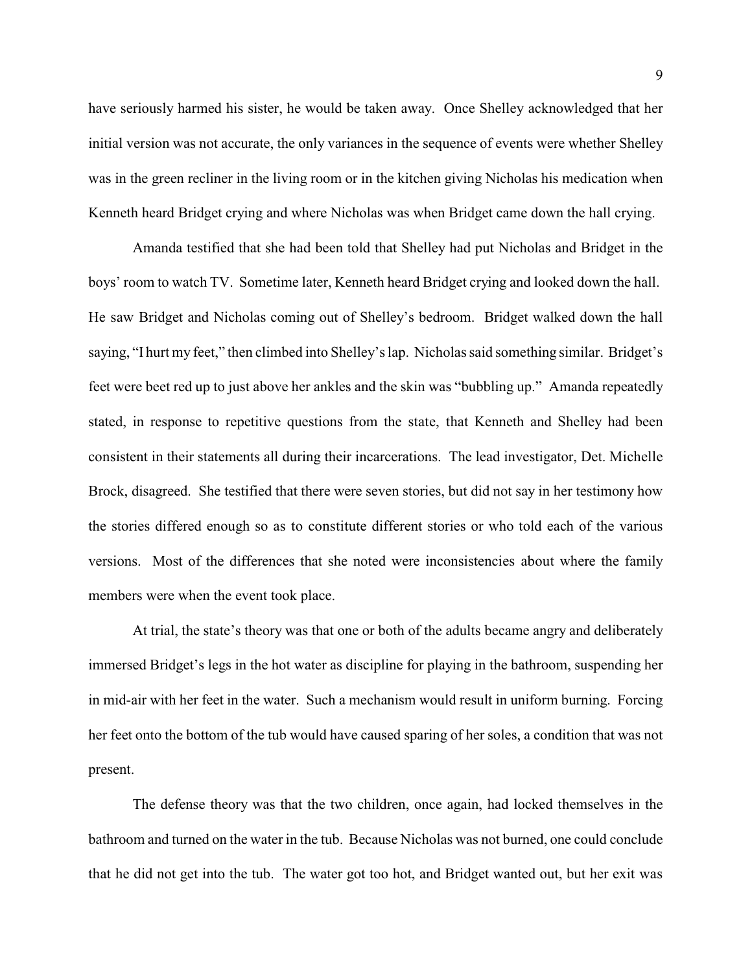have seriously harmed his sister, he would be taken away. Once Shelley acknowledged that her initial version was not accurate, the only variances in the sequence of events were whether Shelley was in the green recliner in the living room or in the kitchen giving Nicholas his medication when Kenneth heard Bridget crying and where Nicholas was when Bridget came down the hall crying.

Amanda testified that she had been told that Shelley had put Nicholas and Bridget in the boys' room to watch TV. Sometime later, Kenneth heard Bridget crying and looked down the hall. He saw Bridget and Nicholas coming out of Shelley's bedroom. Bridget walked down the hall saying, "I hurt my feet," then climbed into Shelley's lap. Nicholas said something similar. Bridget's feet were beet red up to just above her ankles and the skin was "bubbling up." Amanda repeatedly stated, in response to repetitive questions from the state, that Kenneth and Shelley had been consistent in their statements all during their incarcerations. The lead investigator, Det. Michelle Brock, disagreed. She testified that there were seven stories, but did not say in her testimony how the stories differed enough so as to constitute different stories or who told each of the various versions. Most of the differences that she noted were inconsistencies about where the family members were when the event took place.

At trial, the state's theory was that one or both of the adults became angry and deliberately immersed Bridget's legs in the hot water as discipline for playing in the bathroom, suspending her in mid-air with her feet in the water. Such a mechanism would result in uniform burning. Forcing her feet onto the bottom of the tub would have caused sparing of her soles, a condition that was not present.

The defense theory was that the two children, once again, had locked themselves in the bathroom and turned on the water in the tub. Because Nicholas was not burned, one could conclude that he did not get into the tub. The water got too hot, and Bridget wanted out, but her exit was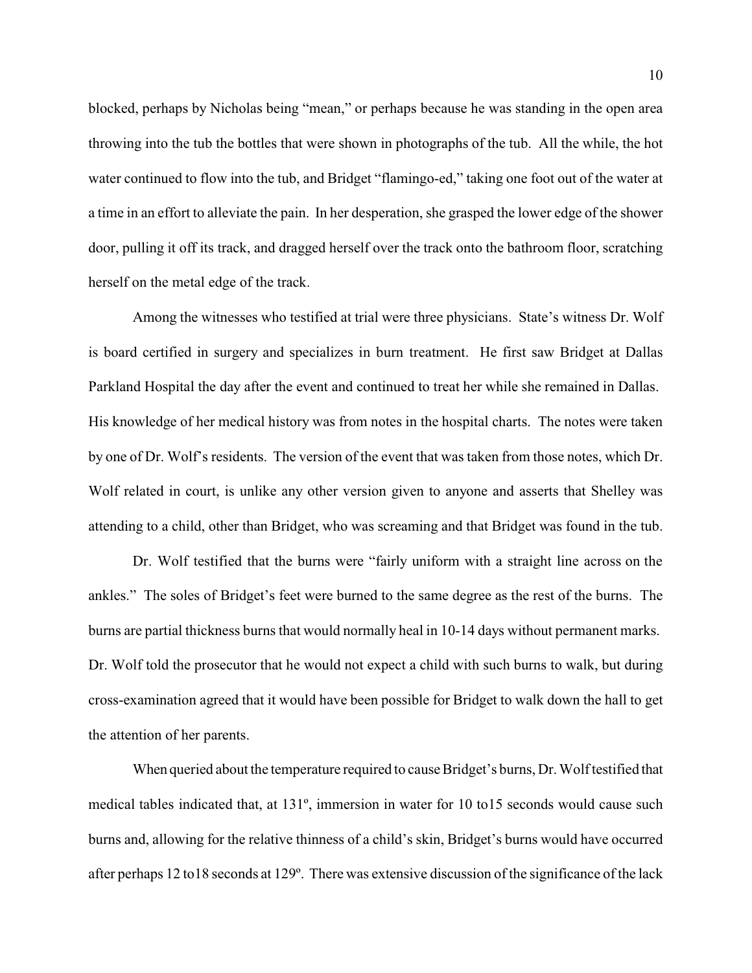blocked, perhaps by Nicholas being "mean," or perhaps because he was standing in the open area throwing into the tub the bottles that were shown in photographs of the tub. All the while, the hot water continued to flow into the tub, and Bridget "flamingo-ed," taking one foot out of the water at a time in an effort to alleviate the pain. In her desperation, she grasped the lower edge of the shower door, pulling it off its track, and dragged herself over the track onto the bathroom floor, scratching herself on the metal edge of the track.

Among the witnesses who testified at trial were three physicians. State's witness Dr. Wolf is board certified in surgery and specializes in burn treatment. He first saw Bridget at Dallas Parkland Hospital the day after the event and continued to treat her while she remained in Dallas. His knowledge of her medical history was from notes in the hospital charts. The notes were taken by one of Dr. Wolf's residents. The version of the event that was taken from those notes, which Dr. Wolf related in court, is unlike any other version given to anyone and asserts that Shelley was attending to a child, other than Bridget, who was screaming and that Bridget was found in the tub.

 Dr. Wolf testified that the burns were "fairly uniform with a straight line across on the ankles." The soles of Bridget's feet were burned to the same degree as the rest of the burns. The burns are partial thickness burns that would normally heal in 10-14 days without permanent marks. Dr. Wolf told the prosecutor that he would not expect a child with such burns to walk, but during cross-examination agreed that it would have been possible for Bridget to walk down the hall to get the attention of her parents.

When queried about the temperature required to cause Bridget's burns, Dr. Wolf testified that medical tables indicated that, at 131º, immersion in water for 10 to15 seconds would cause such burns and, allowing for the relative thinness of a child's skin, Bridget's burns would have occurred after perhaps 12 to18 seconds at 129º. There was extensive discussion of the significance of the lack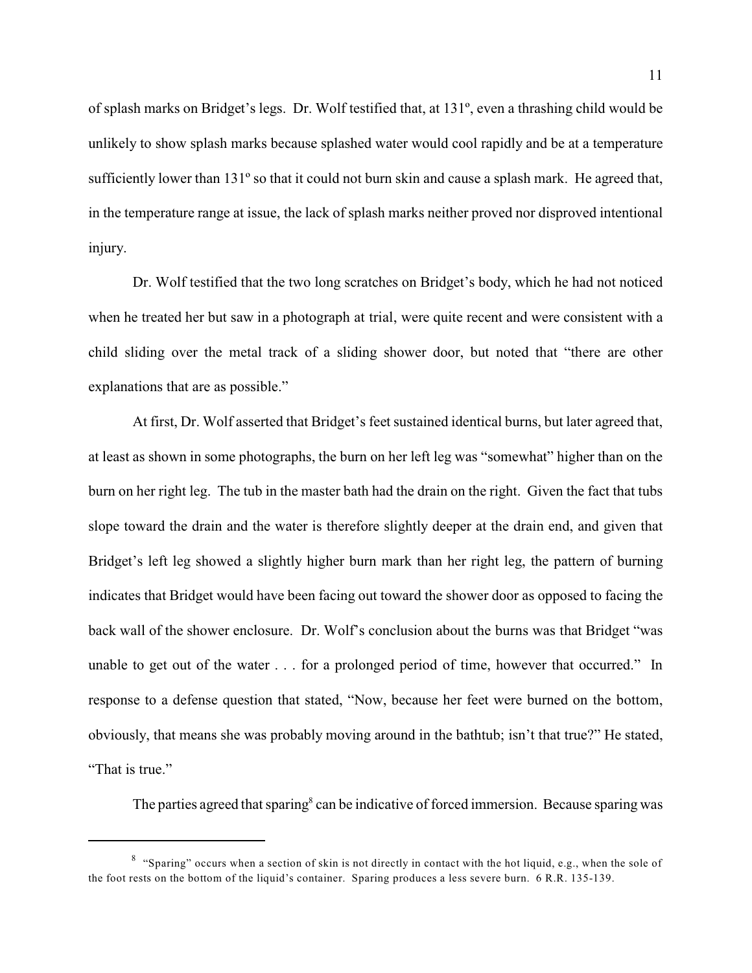of splash marks on Bridget's legs. Dr. Wolf testified that, at 131º, even a thrashing child would be unlikely to show splash marks because splashed water would cool rapidly and be at a temperature sufficiently lower than 131º so that it could not burn skin and cause a splash mark. He agreed that, in the temperature range at issue, the lack of splash marks neither proved nor disproved intentional injury.

Dr. Wolf testified that the two long scratches on Bridget's body, which he had not noticed when he treated her but saw in a photograph at trial, were quite recent and were consistent with a child sliding over the metal track of a sliding shower door, but noted that "there are other explanations that are as possible."

At first, Dr. Wolf asserted that Bridget's feet sustained identical burns, but later agreed that, at least as shown in some photographs, the burn on her left leg was "somewhat" higher than on the burn on her right leg. The tub in the master bath had the drain on the right. Given the fact that tubs slope toward the drain and the water is therefore slightly deeper at the drain end, and given that Bridget's left leg showed a slightly higher burn mark than her right leg, the pattern of burning indicates that Bridget would have been facing out toward the shower door as opposed to facing the back wall of the shower enclosure. Dr. Wolf's conclusion about the burns was that Bridget "was unable to get out of the water . . . for a prolonged period of time, however that occurred." In response to a defense question that stated, "Now, because her feet were burned on the bottom, obviously, that means she was probably moving around in the bathtub; isn't that true?" He stated, "That is true."

The parties agreed that sparing  $\textdegree$  can be indicative of forced immersion. Because sparing was

 $8$  "Sparing" occurs when a section of skin is not directly in contact with the hot liquid, e.g., when the sole of the foot rests on the bottom of the liquid's container. Sparing produces a less severe burn. 6 R.R. 135-139.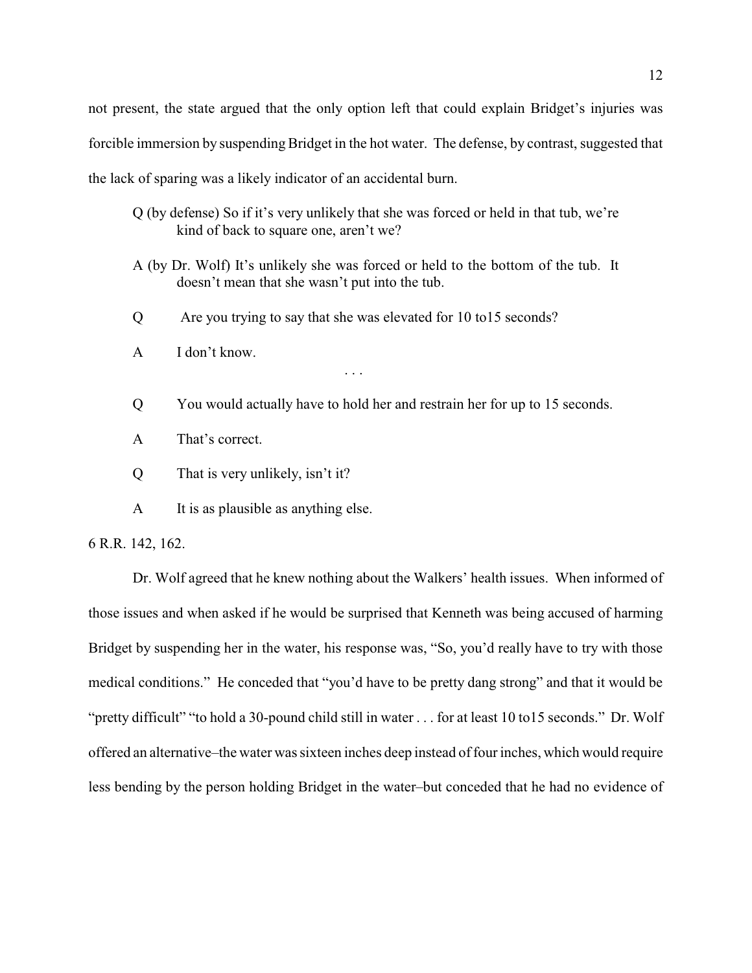not present, the state argued that the only option left that could explain Bridget's injuries was forcible immersion by suspending Bridget in the hot water. The defense, by contrast, suggested that the lack of sparing was a likely indicator of an accidental burn.

- Q (by defense) So if it's very unlikely that she was forced or held in that tub, we're kind of back to square one, aren't we?
- A (by Dr. Wolf) It's unlikely she was forced or held to the bottom of the tub. It doesn't mean that she wasn't put into the tub.
- Q Are you trying to say that she was elevated for 10 to15 seconds?

. . .

- A I don't know.
- Q You would actually have to hold her and restrain her for up to 15 seconds.
- A That's correct.
- Q That is very unlikely, isn't it?
- A It is as plausible as anything else.

6 R.R. 142, 162.

Dr. Wolf agreed that he knew nothing about the Walkers' health issues. When informed of those issues and when asked if he would be surprised that Kenneth was being accused of harming Bridget by suspending her in the water, his response was, "So, you'd really have to try with those medical conditions." He conceded that "you'd have to be pretty dang strong" and that it would be "pretty difficult" "to hold a 30-pound child still in water . . . for at least 10 to15 seconds." Dr. Wolf offered an alternative–the water was sixteen inches deep instead of four inches, which would require less bending by the person holding Bridget in the water–but conceded that he had no evidence of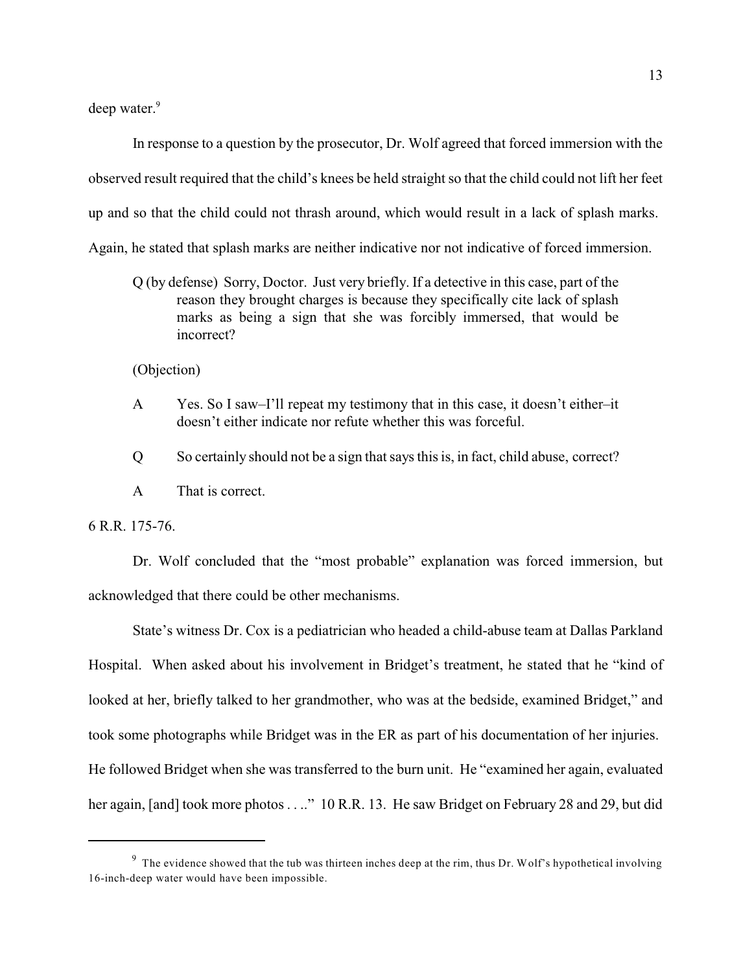deep water.<sup>9</sup>

In response to a question by the prosecutor, Dr. Wolf agreed that forced immersion with the observed result required that the child's knees be held straight so that the child could not lift her feet up and so that the child could not thrash around, which would result in a lack of splash marks. Again, he stated that splash marks are neither indicative nor not indicative of forced immersion.

Q (by defense) Sorry, Doctor. Just very briefly. If a detective in this case, part of the reason they brought charges is because they specifically cite lack of splash marks as being a sign that she was forcibly immersed, that would be incorrect?

(Objection)

- A Yes. So I saw–I'll repeat my testimony that in this case, it doesn't either–it doesn't either indicate nor refute whether this was forceful.
- Q So certainly should not be a sign that says this is, in fact, child abuse, correct?
- A That is correct.

6 R.R. 175-76.

Dr. Wolf concluded that the "most probable" explanation was forced immersion, but acknowledged that there could be other mechanisms.

State's witness Dr. Cox is a pediatrician who headed a child-abuse team at Dallas Parkland Hospital. When asked about his involvement in Bridget's treatment, he stated that he "kind of looked at her, briefly talked to her grandmother, who was at the bedside, examined Bridget," and took some photographs while Bridget was in the ER as part of his documentation of her injuries. He followed Bridget when she was transferred to the burn unit. He "examined her again, evaluated her again, [and] took more photos . . .." 10 R.R. 13. He saw Bridget on February 28 and 29, but did

 $9$  The evidence showed that the tub was thirteen inches deep at the rim, thus Dr. Wolf's hypothetical involving 16-inch-deep water would have been impossible.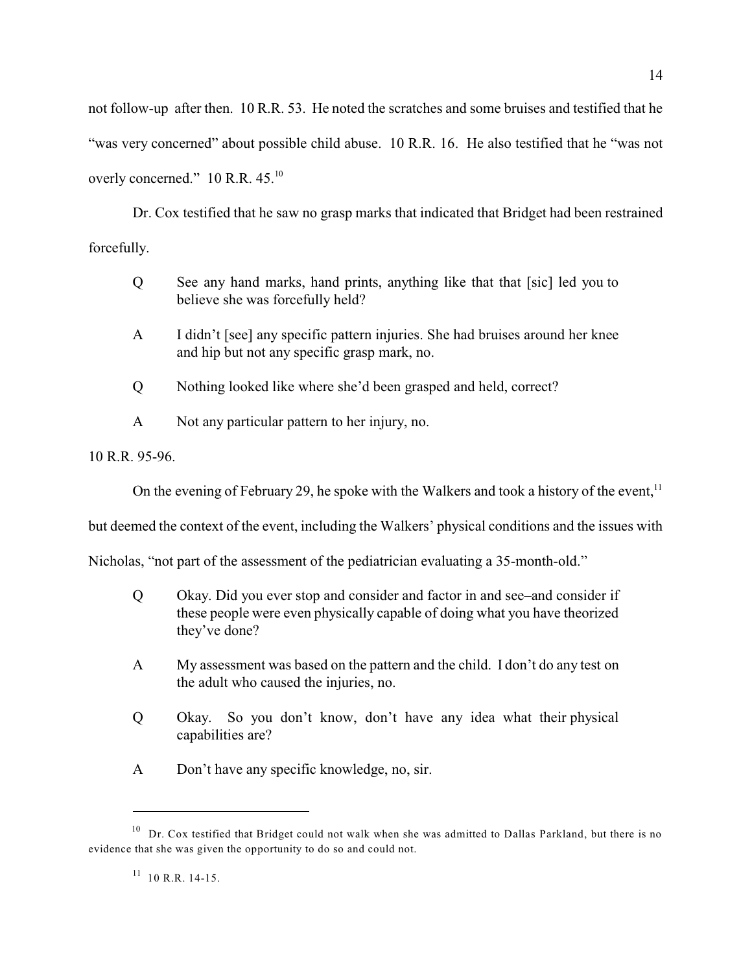not follow-up after then. 10 R.R. 53. He noted the scratches and some bruises and testified that he "was very concerned" about possible child abuse. 10 R.R. 16. He also testified that he "was not overly concerned."  $10$  R.R.  $45.^{10}$ 

Dr. Cox testified that he saw no grasp marks that indicated that Bridget had been restrained forcefully.

- Q See any hand marks, hand prints, anything like that that [sic] led you to believe she was forcefully held?
- A I didn't [see] any specific pattern injuries. She had bruises around her knee and hip but not any specific grasp mark, no.
- Q Nothing looked like where she'd been grasped and held, correct?
- A Not any particular pattern to her injury, no.

10 R.R. 95-96.

On the evening of February 29, he spoke with the Walkers and took a history of the event,  $11$ 

but deemed the context of the event, including the Walkers' physical conditions and the issues with

Nicholas, "not part of the assessment of the pediatrician evaluating a 35-month-old."

- Q Okay. Did you ever stop and consider and factor in and see–and consider if these people were even physically capable of doing what you have theorized they've done?
- A My assessment was based on the pattern and the child. I don't do any test on the adult who caused the injuries, no.
- Q Okay. So you don't know, don't have any idea what their physical capabilities are?
- A Don't have any specific knowledge, no, sir.

 $10$  Dr. Cox testified that Bridget could not walk when she was admitted to Dallas Parkland, but there is no evidence that she was given the opportunity to do so and could not.

 $11$  10 R.R. 14-15.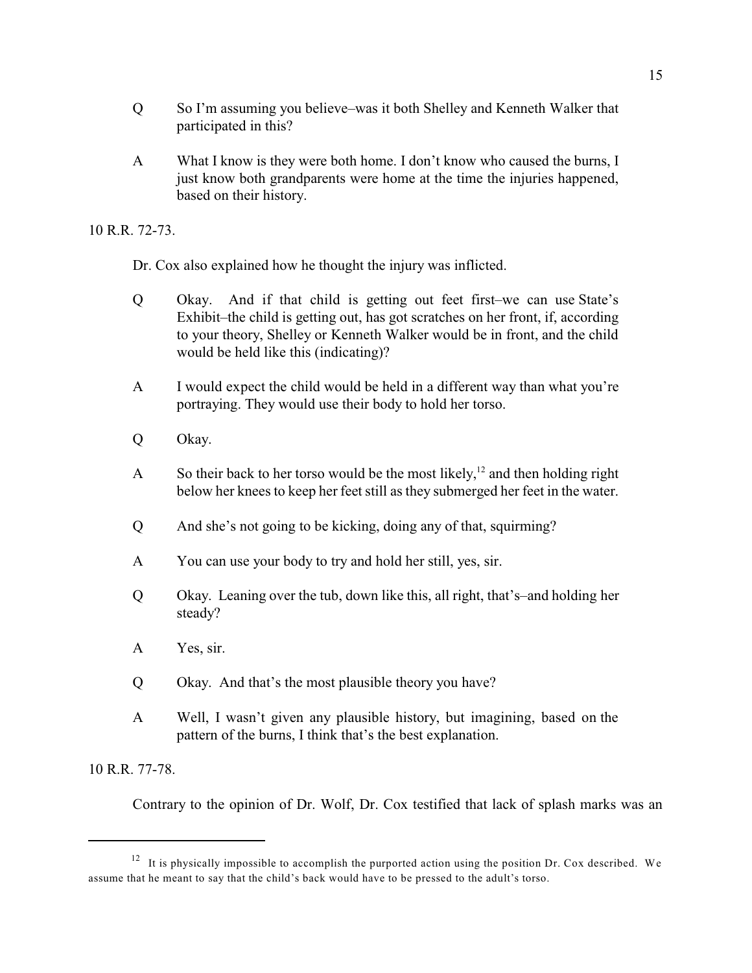- Q So I'm assuming you believe–was it both Shelley and Kenneth Walker that participated in this?
- A What I know is they were both home. I don't know who caused the burns, I just know both grandparents were home at the time the injuries happened, based on their history.

10 R.R. 72-73.

Dr. Cox also explained how he thought the injury was inflicted.

- Q Okay. And if that child is getting out feet first–we can use State's Exhibit–the child is getting out, has got scratches on her front, if, according to your theory, Shelley or Kenneth Walker would be in front, and the child would be held like this (indicating)?
- A I would expect the child would be held in a different way than what you're portraying. They would use their body to hold her torso.
- Q Okay.
- A So their back to her torso would be the most likely,  $12$  and then holding right below her knees to keep her feet still as they submerged her feet in the water.
- Q And she's not going to be kicking, doing any of that, squirming?
- A You can use your body to try and hold her still, yes, sir.
- Q Okay. Leaning over the tub, down like this, all right, that's–and holding her steady?
- A Yes, sir.
- Q Okay. And that's the most plausible theory you have?
- A Well, I wasn't given any plausible history, but imagining, based on the pattern of the burns, I think that's the best explanation.

10 R.R. 77-78.

Contrary to the opinion of Dr. Wolf, Dr. Cox testified that lack of splash marks was an

 $12$  It is physically impossible to accomplish the purported action using the position Dr. Cox described. We assume that he meant to say that the child's back would have to be pressed to the adult's torso.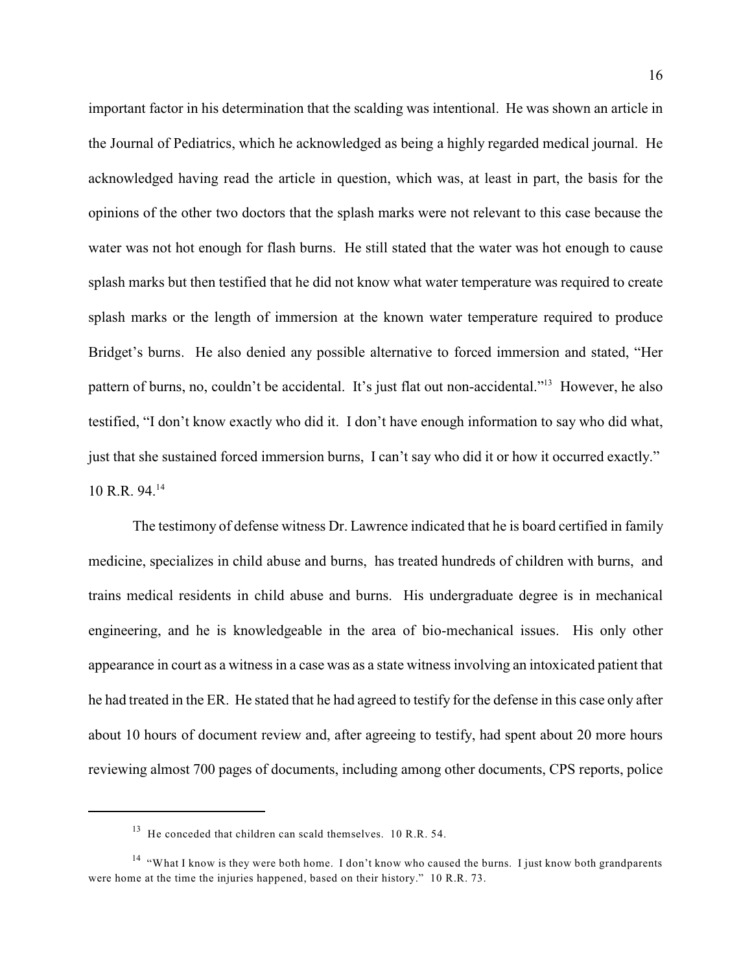important factor in his determination that the scalding was intentional. He was shown an article in the Journal of Pediatrics, which he acknowledged as being a highly regarded medical journal. He acknowledged having read the article in question, which was, at least in part, the basis for the opinions of the other two doctors that the splash marks were not relevant to this case because the water was not hot enough for flash burns. He still stated that the water was hot enough to cause splash marks but then testified that he did not know what water temperature was required to create splash marks or the length of immersion at the known water temperature required to produce Bridget's burns. He also denied any possible alternative to forced immersion and stated, "Her pattern of burns, no, couldn't be accidental. It's just flat out non-accidental."<sup>13</sup> However, he also testified, "I don't know exactly who did it. I don't have enough information to say who did what, just that she sustained forced immersion burns, I can't say who did it or how it occurred exactly." 10 R.R. 94.<sup>14</sup>

The testimony of defense witness Dr. Lawrence indicated that he is board certified in family medicine, specializes in child abuse and burns, has treated hundreds of children with burns, and trains medical residents in child abuse and burns. His undergraduate degree is in mechanical engineering, and he is knowledgeable in the area of bio-mechanical issues. His only other appearance in court as a witness in a case was as a state witness involving an intoxicated patient that he had treated in the ER. He stated that he had agreed to testify for the defense in this case only after about 10 hours of document review and, after agreeing to testify, had spent about 20 more hours reviewing almost 700 pages of documents, including among other documents, CPS reports, police

 $^{13}$  He conceded that children can scald themselves. 10 R.R. 54.

<sup>&</sup>lt;sup>14</sup> "What I know is they were both home. I don't know who caused the burns. I just know both grandparents were home at the time the injuries happened, based on their history." 10 R.R. 73.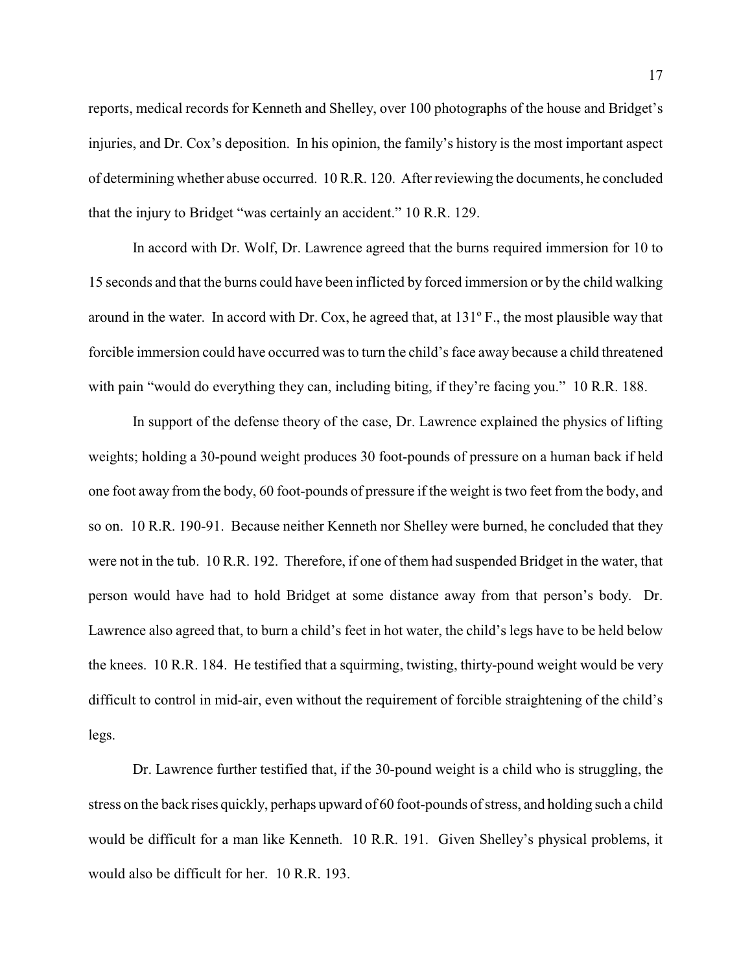reports, medical records for Kenneth and Shelley, over 100 photographs of the house and Bridget's injuries, and Dr. Cox's deposition. In his opinion, the family's history is the most important aspect of determining whether abuse occurred. 10 R.R. 120. After reviewing the documents, he concluded that the injury to Bridget "was certainly an accident." 10 R.R. 129.

In accord with Dr. Wolf, Dr. Lawrence agreed that the burns required immersion for 10 to 15 seconds and that the burns could have been inflicted by forced immersion or by the child walking around in the water. In accord with Dr. Cox, he agreed that, at 131º F., the most plausible way that forcible immersion could have occurred was to turn the child's face away because a child threatened with pain "would do everything they can, including biting, if they're facing you." 10 R.R. 188.

In support of the defense theory of the case, Dr. Lawrence explained the physics of lifting weights; holding a 30-pound weight produces 30 foot-pounds of pressure on a human back if held one foot away from the body, 60 foot-pounds of pressure if the weight is two feet from the body, and so on. 10 R.R. 190-91. Because neither Kenneth nor Shelley were burned, he concluded that they were not in the tub. 10 R.R. 192. Therefore, if one of them had suspended Bridget in the water, that person would have had to hold Bridget at some distance away from that person's body. Dr. Lawrence also agreed that, to burn a child's feet in hot water, the child's legs have to be held below the knees. 10 R.R. 184. He testified that a squirming, twisting, thirty-pound weight would be very difficult to control in mid-air, even without the requirement of forcible straightening of the child's legs.

Dr. Lawrence further testified that, if the 30-pound weight is a child who is struggling, the stress on the back rises quickly, perhaps upward of 60 foot-pounds of stress, and holding such a child would be difficult for a man like Kenneth. 10 R.R. 191. Given Shelley's physical problems, it would also be difficult for her. 10 R.R. 193.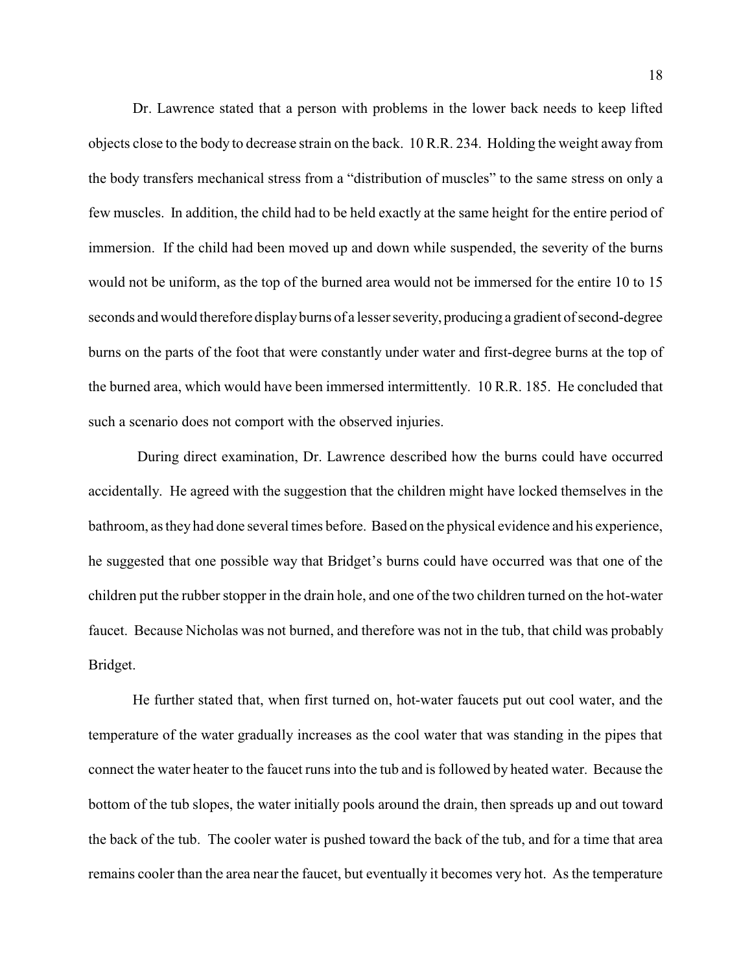Dr. Lawrence stated that a person with problems in the lower back needs to keep lifted objects close to the body to decrease strain on the back. 10 R.R. 234. Holding the weight away from the body transfers mechanical stress from a "distribution of muscles" to the same stress on only a few muscles. In addition, the child had to be held exactly at the same height for the entire period of immersion. If the child had been moved up and down while suspended, the severity of the burns would not be uniform, as the top of the burned area would not be immersed for the entire 10 to 15 seconds and would therefore displayburns of a lesser severity, producing a gradient of second-degree burns on the parts of the foot that were constantly under water and first-degree burns at the top of the burned area, which would have been immersed intermittently. 10 R.R. 185. He concluded that such a scenario does not comport with the observed injuries.

During direct examination, Dr. Lawrence described how the burns could have occurred accidentally. He agreed with the suggestion that the children might have locked themselves in the bathroom, as they had done several times before. Based on the physical evidence and his experience, he suggested that one possible way that Bridget's burns could have occurred was that one of the children put the rubber stopper in the drain hole, and one of the two children turned on the hot-water faucet. Because Nicholas was not burned, and therefore was not in the tub, that child was probably Bridget.

He further stated that, when first turned on, hot-water faucets put out cool water, and the temperature of the water gradually increases as the cool water that was standing in the pipes that connect the water heater to the faucet runs into the tub and is followed by heated water. Because the bottom of the tub slopes, the water initially pools around the drain, then spreads up and out toward the back of the tub. The cooler water is pushed toward the back of the tub, and for a time that area remains cooler than the area near the faucet, but eventually it becomes very hot. As the temperature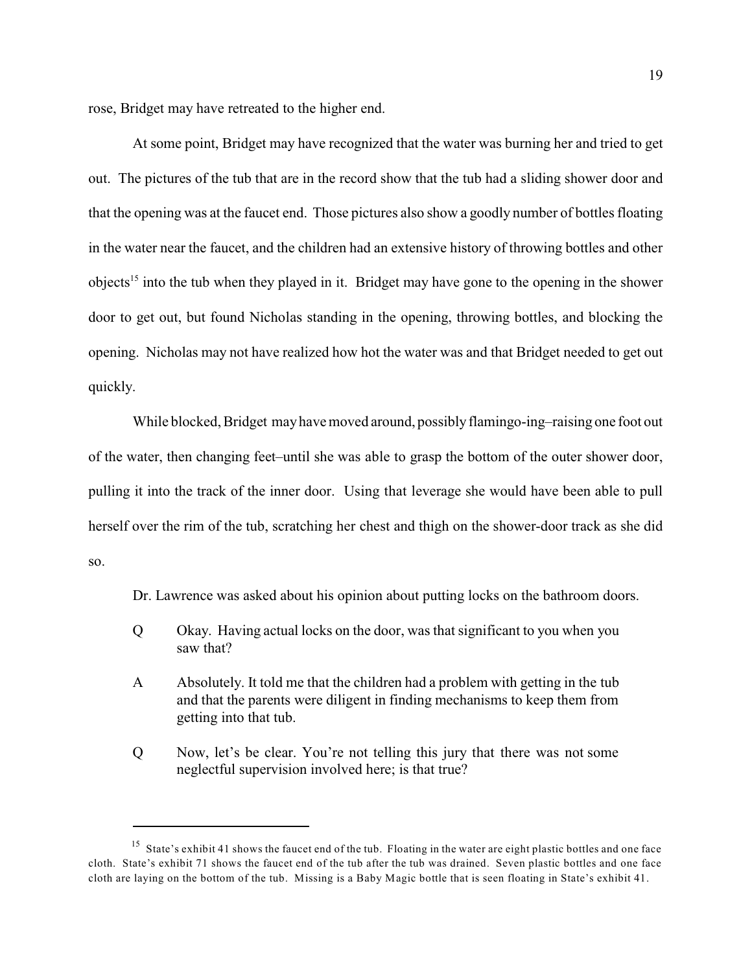rose, Bridget may have retreated to the higher end.

At some point, Bridget may have recognized that the water was burning her and tried to get out. The pictures of the tub that are in the record show that the tub had a sliding shower door and that the opening was at the faucet end. Those pictures also show a goodly number of bottles floating in the water near the faucet, and the children had an extensive history of throwing bottles and other objects<sup>15</sup> into the tub when they played in it. Bridget may have gone to the opening in the shower door to get out, but found Nicholas standing in the opening, throwing bottles, and blocking the opening. Nicholas may not have realized how hot the water was and that Bridget needed to get out quickly.

While blocked, Bridget may have moved around, possibly flamingo-ing-raising one foot out of the water, then changing feet–until she was able to grasp the bottom of the outer shower door, pulling it into the track of the inner door. Using that leverage she would have been able to pull herself over the rim of the tub, scratching her chest and thigh on the shower-door track as she did so.

Dr. Lawrence was asked about his opinion about putting locks on the bathroom doors.

- Q Okay. Having actual locks on the door, was that significant to you when you saw that?
- A Absolutely. It told me that the children had a problem with getting in the tub and that the parents were diligent in finding mechanisms to keep them from getting into that tub.
- Q Now, let's be clear. You're not telling this jury that there was not some neglectful supervision involved here; is that true?

<sup>&</sup>lt;sup>15</sup> State's exhibit 41 shows the faucet end of the tub. Floating in the water are eight plastic bottles and one face cloth. State's exhibit 71 shows the faucet end of the tub after the tub was drained. Seven plastic bottles and one face cloth are laying on the bottom of the tub. Missing is a Baby Magic bottle that is seen floating in State's exhibit 41.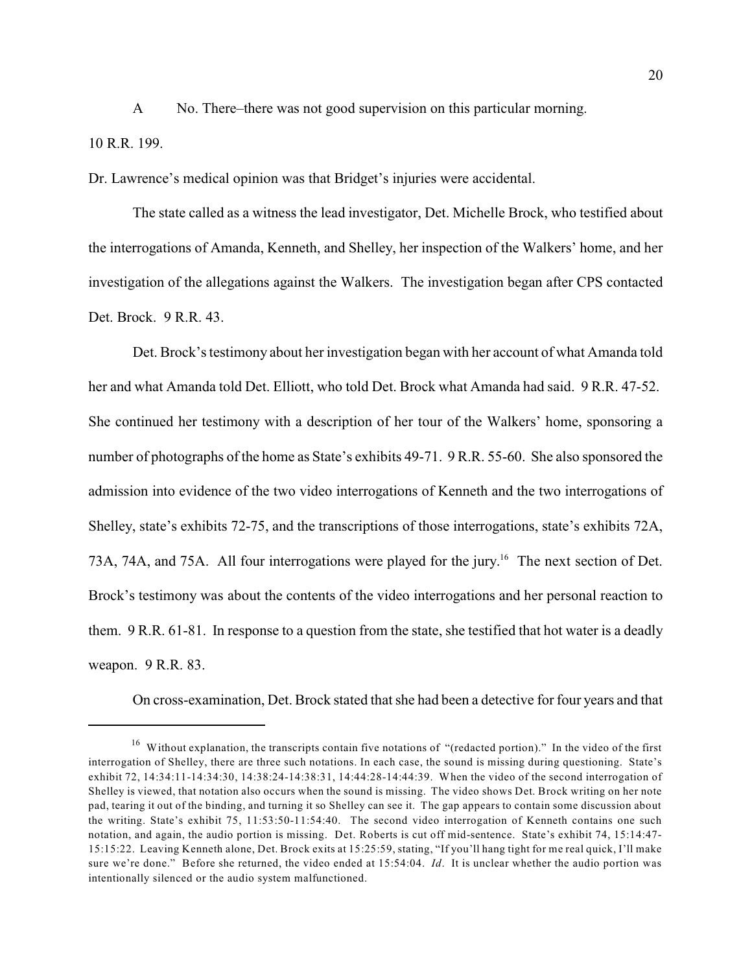A No. There–there was not good supervision on this particular morning.

10 R.R. 199.

Dr. Lawrence's medical opinion was that Bridget's injuries were accidental.

The state called as a witness the lead investigator, Det. Michelle Brock, who testified about the interrogations of Amanda, Kenneth, and Shelley, her inspection of the Walkers' home, and her investigation of the allegations against the Walkers. The investigation began after CPS contacted Det. Brock. 9 R.R. 43.

Det. Brock's testimony about her investigation began with her account of what Amanda told her and what Amanda told Det. Elliott, who told Det. Brock what Amanda had said. 9 R.R. 47-52. She continued her testimony with a description of her tour of the Walkers' home, sponsoring a number of photographs of the home as State's exhibits 49-71. 9 R.R. 55-60. She also sponsored the admission into evidence of the two video interrogations of Kenneth and the two interrogations of Shelley, state's exhibits 72-75, and the transcriptions of those interrogations, state's exhibits 72A, 73A, 74A, and 75A. All four interrogations were played for the jury.<sup>16</sup> The next section of Det. Brock's testimony was about the contents of the video interrogations and her personal reaction to them. 9 R.R. 61-81. In response to a question from the state, she testified that hot water is a deadly weapon. 9 R.R. 83.

On cross-examination, Det. Brock stated that she had been a detective for four years and that

 $16$  Without explanation, the transcripts contain five notations of "(redacted portion)." In the video of the first interrogation of Shelley, there are three such notations. In each case, the sound is missing during questioning. State's exhibit 72, 14:34:11-14:34:30, 14:38:24-14:38:31, 14:44:28-14:44:39. When the video of the second interrogation of Shelley is viewed, that notation also occurs when the sound is missing. The video shows Det. Brock writing on her note pad, tearing it out of the binding, and turning it so Shelley can see it. The gap appears to contain some discussion about the writing. State's exhibit 75, 11:53:50-11:54:40. The second video interrogation of Kenneth contains one such notation, and again, the audio portion is missing. Det. Roberts is cut off mid-sentence. State's exhibit 74, 15:14:47- 15:15:22. Leaving Kenneth alone, Det. Brock exits at 15:25:59, stating, "If you'll hang tight for me real quick, I'll make sure we're done." Before she returned, the video ended at 15:54:04. *Id*. It is unclear whether the audio portion was intentionally silenced or the audio system malfunctioned.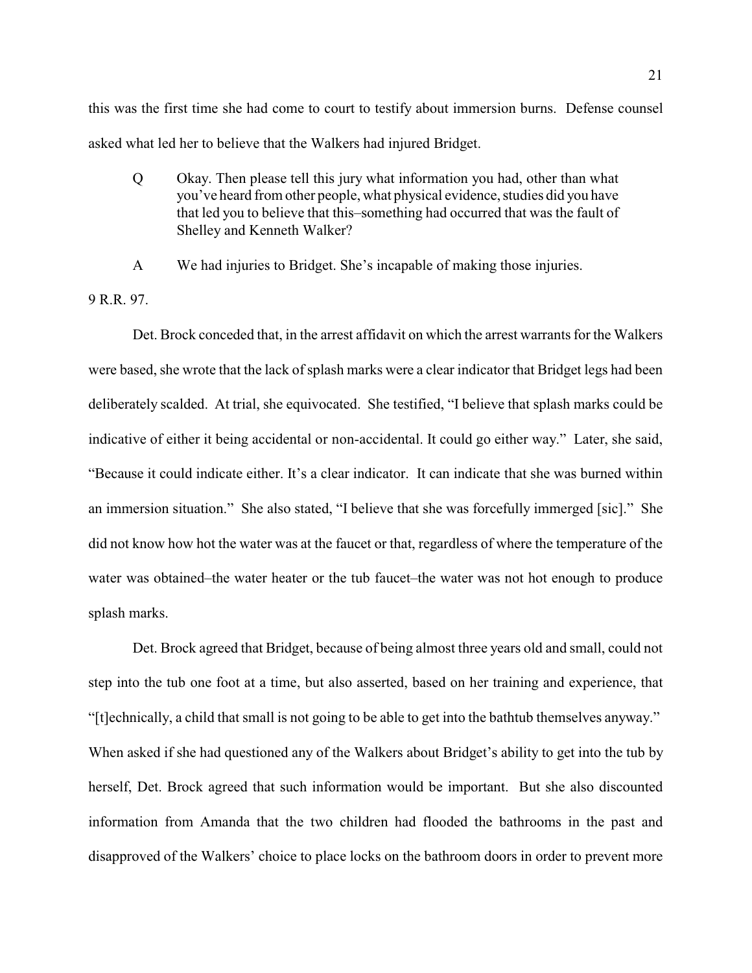this was the first time she had come to court to testify about immersion burns. Defense counsel asked what led her to believe that the Walkers had injured Bridget.

Q Okay. Then please tell this jury what information you had, other than what you've heard from other people, what physical evidence, studies did you have that led you to believe that this–something had occurred that was the fault of Shelley and Kenneth Walker?

A We had injuries to Bridget. She's incapable of making those injuries.

9 R.R. 97.

Det. Brock conceded that, in the arrest affidavit on which the arrest warrants for the Walkers were based, she wrote that the lack of splash marks were a clear indicator that Bridget legs had been deliberately scalded. At trial, she equivocated. She testified, "I believe that splash marks could be indicative of either it being accidental or non-accidental. It could go either way." Later, she said, "Because it could indicate either. It's a clear indicator. It can indicate that she was burned within an immersion situation." She also stated, "I believe that she was forcefully immerged [sic]." She did not know how hot the water was at the faucet or that, regardless of where the temperature of the water was obtained–the water heater or the tub faucet–the water was not hot enough to produce splash marks.

Det. Brock agreed that Bridget, because of being almost three years old and small, could not step into the tub one foot at a time, but also asserted, based on her training and experience, that "[t]echnically, a child that small is not going to be able to get into the bathtub themselves anyway." When asked if she had questioned any of the Walkers about Bridget's ability to get into the tub by herself, Det. Brock agreed that such information would be important. But she also discounted information from Amanda that the two children had flooded the bathrooms in the past and disapproved of the Walkers' choice to place locks on the bathroom doors in order to prevent more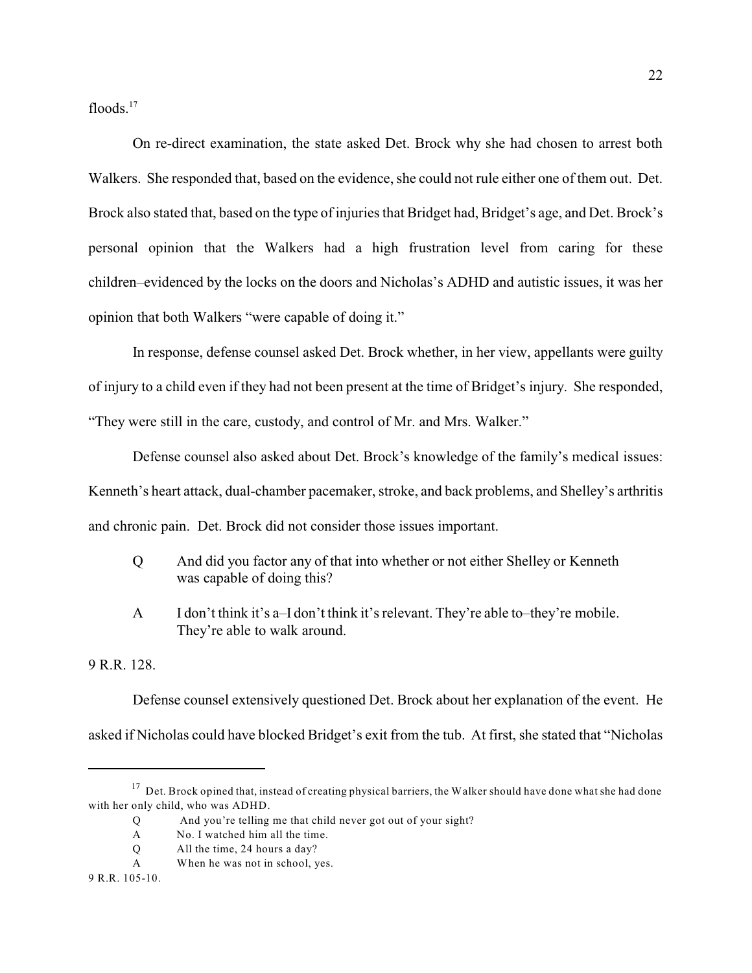floods. $17$ 

On re-direct examination, the state asked Det. Brock why she had chosen to arrest both Walkers. She responded that, based on the evidence, she could not rule either one of them out. Det. Brock also stated that, based on the type of injuries that Bridget had, Bridget's age, and Det. Brock's personal opinion that the Walkers had a high frustration level from caring for these children–evidenced by the locks on the doors and Nicholas's ADHD and autistic issues, it was her opinion that both Walkers "were capable of doing it."

In response, defense counsel asked Det. Brock whether, in her view, appellants were guilty of injury to a child even if they had not been present at the time of Bridget's injury. She responded, "They were still in the care, custody, and control of Mr. and Mrs. Walker."

Defense counsel also asked about Det. Brock's knowledge of the family's medical issues: Kenneth's heart attack, dual-chamber pacemaker, stroke, and back problems, and Shelley's arthritis and chronic pain. Det. Brock did not consider those issues important.

- Q And did you factor any of that into whether or not either Shelley or Kenneth was capable of doing this?
- A I don't think it's a–I don't think it's relevant. They're able to–they're mobile. They're able to walk around.

9 R.R. 128.

Defense counsel extensively questioned Det. Brock about her explanation of the event. He asked if Nicholas could have blocked Bridget's exit from the tub. At first, she stated that "Nicholas

 $17$  Det. Brock opined that, instead of creating physical barriers, the Walker should have done what she had done with her only child, who was ADHD.

Q And you're telling me that child never got out of your sight?

A No. I watched him all the time.

Q All the time, 24 hours a day?

A When he was not in school, yes.

<sup>9</sup> R.R. 105-10.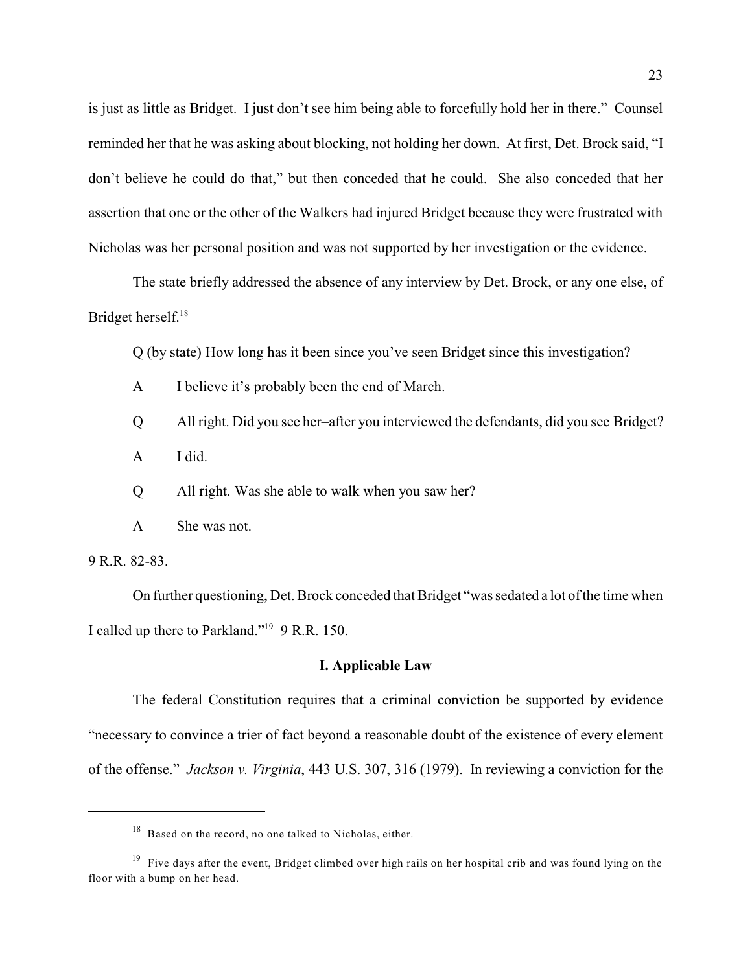is just as little as Bridget. I just don't see him being able to forcefully hold her in there." Counsel reminded her that he was asking about blocking, not holding her down. At first, Det. Brock said, "I don't believe he could do that," but then conceded that he could. She also conceded that her assertion that one or the other of the Walkers had injured Bridget because they were frustrated with Nicholas was her personal position and was not supported by her investigation or the evidence.

The state briefly addressed the absence of any interview by Det. Brock, or any one else, of Bridget herself. 18

Q (by state) How long has it been since you've seen Bridget since this investigation?

- A I believe it's probably been the end of March.
- Q All right. Did you see her–after you interviewed the defendants, did you see Bridget?
- A I did.

Q All right. Was she able to walk when you saw her?

A She was not.

9 R.R. 82-83.

On further questioning, Det. Brock conceded that Bridget "was sedated a lot of the time when I called up there to Parkland."<sup>19</sup> 9 R.R. 150.

#### **I. Applicable Law**

The federal Constitution requires that a criminal conviction be supported by evidence "necessary to convince a trier of fact beyond a reasonable doubt of the existence of every element of the offense." *Jackson v. Virginia*, 443 U.S. 307, 316 (1979). In reviewing a conviction for the

 $^{18}$  Based on the record, no one talked to Nicholas, either.

<sup>&</sup>lt;sup>19</sup> Five days after the event, Bridget climbed over high rails on her hospital crib and was found lying on the floor with a bump on her head.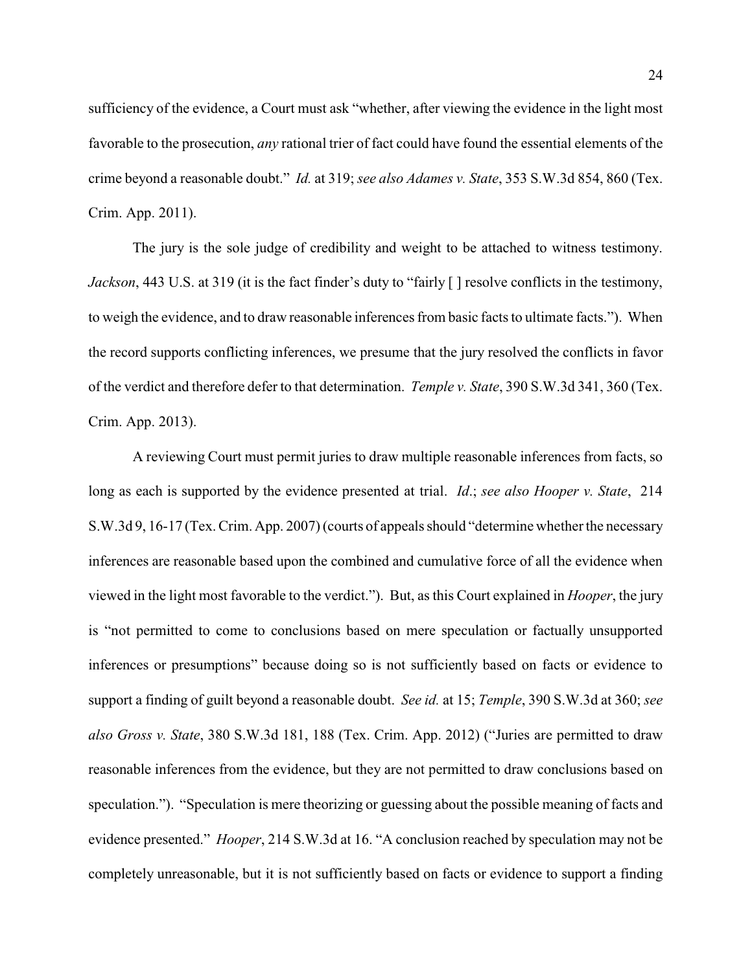sufficiency of the evidence, a Court must ask "whether, after viewing the evidence in the light most favorable to the prosecution, *any* rational trier of fact could have found the essential elements of the crime beyond a reasonable doubt." *Id.* at 319; *see also Adames v. State*, 353 S.W.3d 854, 860 (Tex. Crim. App. 2011).

The jury is the sole judge of credibility and weight to be attached to witness testimony. *Jackson*, 443 U.S. at 319 (it is the fact finder's duty to "fairly  $\lceil \cdot \rceil$  resolve conflicts in the testimony, to weigh the evidence, and to draw reasonable inferences from basic facts to ultimate facts."). When the record supports conflicting inferences, we presume that the jury resolved the conflicts in favor of the verdict and therefore defer to that determination. *Temple v. State*, 390 S.W.3d 341, 360 (Tex. Crim. App. 2013).

A reviewing Court must permit juries to draw multiple reasonable inferences from facts, so long as each is supported by the evidence presented at trial. *Id*.; *see also Hooper v. State*, 214 S.W.3d 9, 16-17 (Tex. Crim. App. 2007) (courts of appeals should "determine whether the necessary inferences are reasonable based upon the combined and cumulative force of all the evidence when viewed in the light most favorable to the verdict."). But, as this Court explained in *Hooper*, the jury is "not permitted to come to conclusions based on mere speculation or factually unsupported inferences or presumptions" because doing so is not sufficiently based on facts or evidence to support a finding of guilt beyond a reasonable doubt. *See id.* at 15; *Temple*, 390 S.W.3d at 360; *see also Gross v. State*, 380 S.W.3d 181, 188 (Tex. Crim. App. 2012) ("Juries are permitted to draw reasonable inferences from the evidence, but they are not permitted to draw conclusions based on speculation."). "Speculation is mere theorizing or guessing about the possible meaning of facts and evidence presented." *Hooper*, 214 S.W.3d at 16. "A conclusion reached by speculation may not be completely unreasonable, but it is not sufficiently based on facts or evidence to support a finding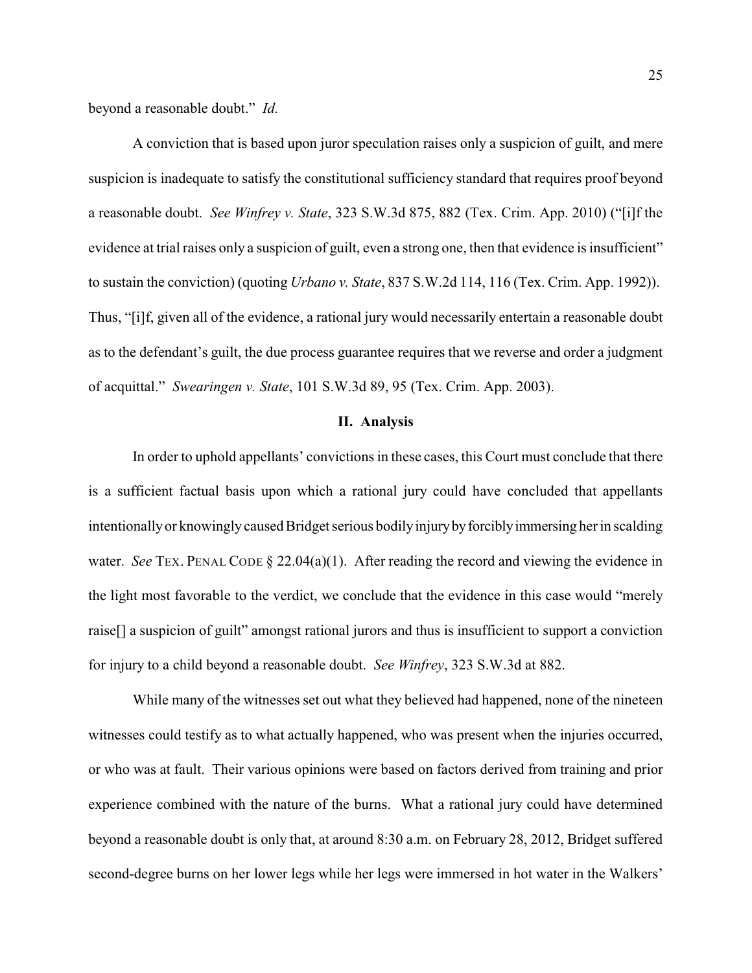beyond a reasonable doubt." *Id.*

A conviction that is based upon juror speculation raises only a suspicion of guilt, and mere suspicion is inadequate to satisfy the constitutional sufficiency standard that requires proof beyond a reasonable doubt. *See Winfrey v. State*, 323 S.W.3d 875, 882 (Tex. Crim. App. 2010) ("[i]f the evidence at trial raises only a suspicion of guilt, even a strong one, then that evidence is insufficient" to sustain the conviction) (quoting *Urbano v. State*, 837 S.W.2d 114, 116 (Tex. Crim. App. 1992)). Thus, "[i]f, given all of the evidence, a rational jury would necessarily entertain a reasonable doubt as to the defendant's guilt, the due process guarantee requires that we reverse and order a judgment of acquittal." *Swearingen v. State*, 101 S.W.3d 89, 95 (Tex. Crim. App. 2003).

#### **II. Analysis**

In order to uphold appellants' convictions in these cases, this Court must conclude that there is a sufficient factual basis upon which a rational jury could have concluded that appellants intentionallyor knowinglycaused Bridget serious bodilyinjurybyforciblyimmersing her in scalding water. *See* TEX. PENAL CODE § 22.04(a)(1). After reading the record and viewing the evidence in the light most favorable to the verdict, we conclude that the evidence in this case would "merely raise[] a suspicion of guilt" amongst rational jurors and thus is insufficient to support a conviction for injury to a child beyond a reasonable doubt. *See Winfrey*, 323 S.W.3d at 882.

While many of the witnesses set out what they believed had happened, none of the nineteen witnesses could testify as to what actually happened, who was present when the injuries occurred, or who was at fault. Their various opinions were based on factors derived from training and prior experience combined with the nature of the burns. What a rational jury could have determined beyond a reasonable doubt is only that, at around 8:30 a.m. on February 28, 2012, Bridget suffered second-degree burns on her lower legs while her legs were immersed in hot water in the Walkers'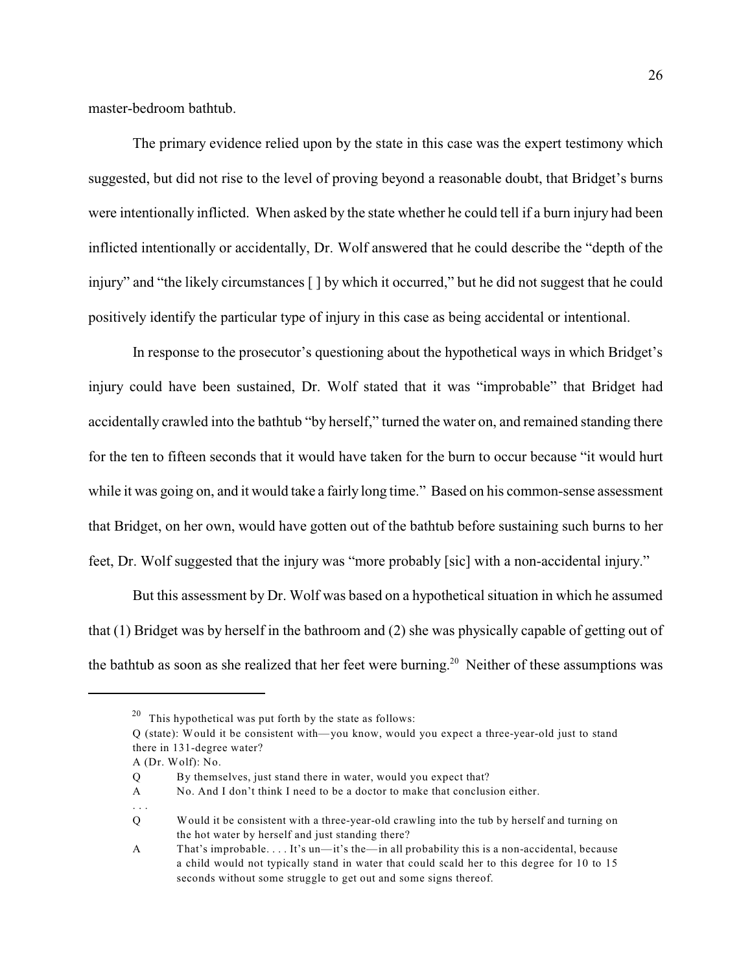master-bedroom bathtub.

The primary evidence relied upon by the state in this case was the expert testimony which suggested, but did not rise to the level of proving beyond a reasonable doubt, that Bridget's burns were intentionally inflicted. When asked by the state whether he could tell if a burn injury had been inflicted intentionally or accidentally, Dr. Wolf answered that he could describe the "depth of the injury" and "the likely circumstances [ ] by which it occurred," but he did not suggest that he could positively identify the particular type of injury in this case as being accidental or intentional.

In response to the prosecutor's questioning about the hypothetical ways in which Bridget's injury could have been sustained, Dr. Wolf stated that it was "improbable" that Bridget had accidentally crawled into the bathtub "by herself," turned the water on, and remained standing there for the ten to fifteen seconds that it would have taken for the burn to occur because "it would hurt while it was going on, and it would take a fairly long time." Based on his common-sense assessment that Bridget, on her own, would have gotten out of the bathtub before sustaining such burns to her feet, Dr. Wolf suggested that the injury was "more probably [sic] with a non-accidental injury."

But this assessment by Dr. Wolf was based on a hypothetical situation in which he assumed that (1) Bridget was by herself in the bathroom and (2) she was physically capable of getting out of the bathtub as soon as she realized that her feet were burning.<sup>20</sup> Neither of these assumptions was

A (Dr. Wolf): No.

. . .

 $20$  This hypothetical was put forth by the state as follows:

Q (state): Would it be consistent with—you know, would you expect a three-year-old just to stand there in 131-degree water?

Q By themselves, just stand there in water, would you expect that?

A No. And I don't think I need to be a doctor to make that conclusion either.

Q Would it be consistent with a three-year-old crawling into the tub by herself and turning on the hot water by herself and just standing there?

A That's improbable. . . . It's un—it's the—in all probability this is a non-accidental, because a child would not typically stand in water that could scald her to this degree for 10 to 15 seconds without some struggle to get out and some signs thereof.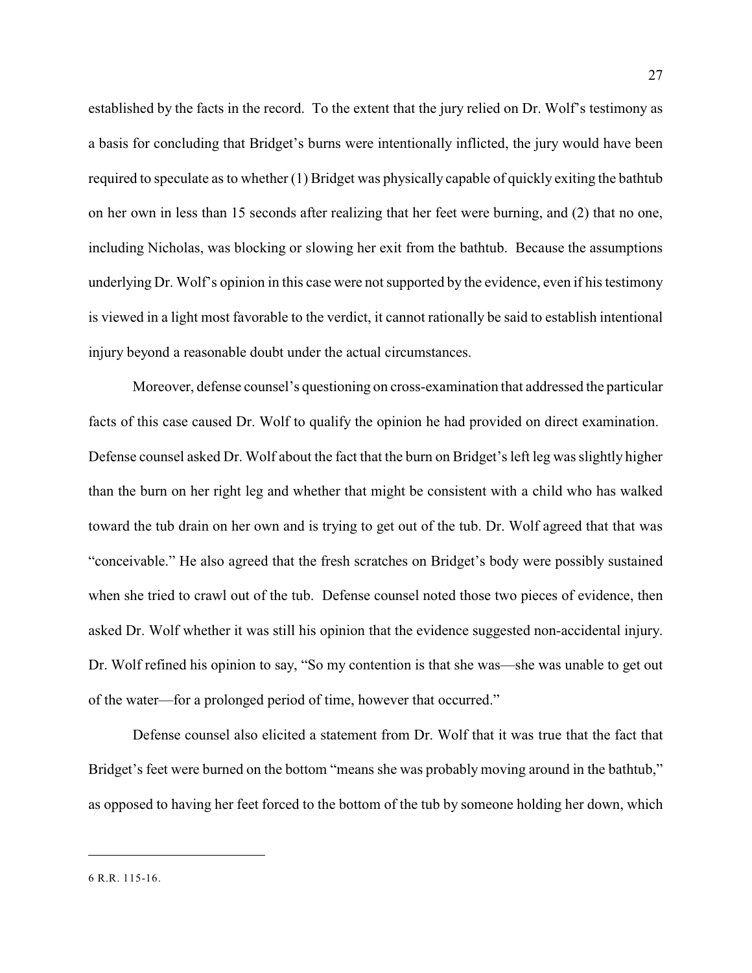established by the facts in the record. To the extent that the jury relied on Dr. Wolf's testimony as a basis for concluding that Bridget's burns were intentionally inflicted, the jury would have been required to speculate as to whether (1) Bridget was physically capable of quickly exiting the bathtub on her own in less than 15 seconds after realizing that her feet were burning, and (2) that no one, including Nicholas, was blocking or slowing her exit from the bathtub. Because the assumptions underlying Dr. Wolf's opinion in this case were not supported by the evidence, even if his testimony is viewed in a light most favorable to the verdict, it cannot rationally be said to establish intentional injury beyond a reasonable doubt under the actual circumstances.

Moreover, defense counsel's questioning on cross-examination that addressed the particular facts of this case caused Dr. Wolf to qualify the opinion he had provided on direct examination. Defense counsel asked Dr. Wolf about the fact that the burn on Bridget's left leg was slightly higher than the burn on her right leg and whether that might be consistent with a child who has walked toward the tub drain on her own and is trying to get out of the tub. Dr. Wolf agreed that that was "conceivable." He also agreed that the fresh scratches on Bridget's body were possibly sustained when she tried to crawl out of the tub. Defense counsel noted those two pieces of evidence, then asked Dr. Wolf whether it was still his opinion that the evidence suggested non-accidental injury. Dr. Wolf refined his opinion to say, "So my contention is that she was—she was unable to get out of the water—for a prolonged period of time, however that occurred."

Defense counsel also elicited a statement from Dr. Wolf that it was true that the fact that Bridget's feet were burned on the bottom "means she was probably moving around in the bathtub," as opposed to having her feet forced to the bottom of the tub by someone holding her down, which

<sup>6</sup> R.R. 115-16.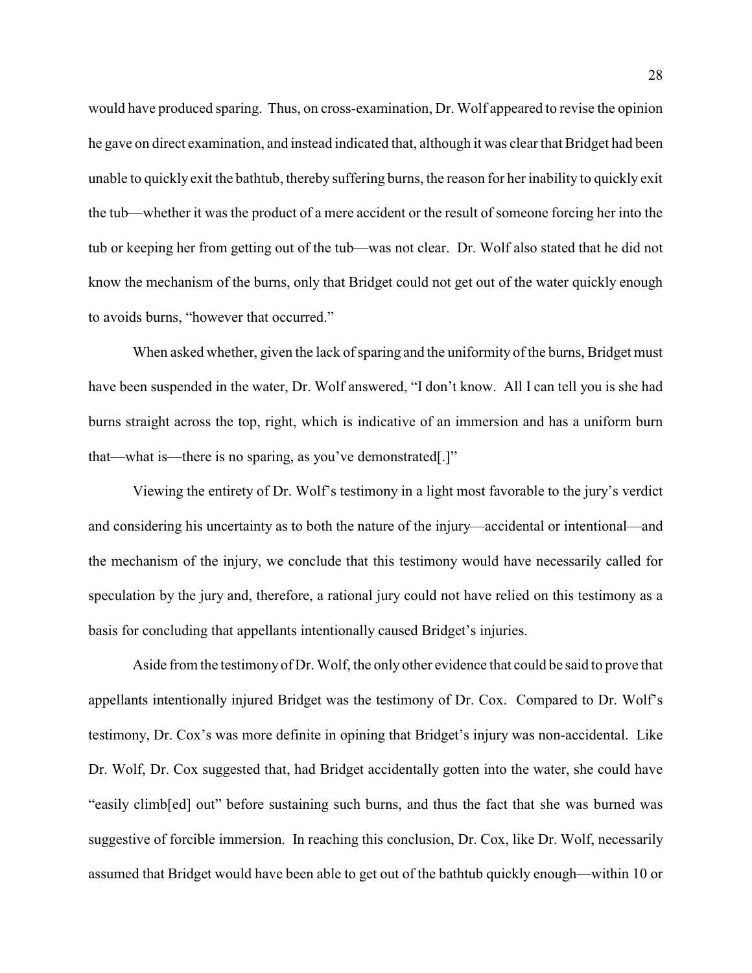would have produced sparing. Thus, on cross-examination, Dr. Wolf appeared to revise the opinion he gave on direct examination, and instead indicated that, although it was clear that Bridget had been unable to quickly exit the bathtub, thereby suffering burns, the reason for her inability to quickly exit the tub—whether it was the product of a mere accident or the result of someone forcing her into the tub or keeping her from getting out of the tub—was not clear. Dr. Wolf also stated that he did not know the mechanism of the burns, only that Bridget could not get out of the water quickly enough to avoids burns, "however that occurred."

When asked whether, given the lack of sparing and the uniformity of the burns, Bridget must have been suspended in the water, Dr. Wolf answered, "I don't know. All I can tell you is she had burns straight across the top, right, which is indicative of an immersion and has a uniform burn that—what is—there is no sparing, as you've demonstrated[.]"

Viewing the entirety of Dr. Wolf's testimony in a light most favorable to the jury's verdict and considering his uncertainty as to both the nature of the injury—accidental or intentional—and the mechanism of the injury, we conclude that this testimony would have necessarily called for speculation by the jury and, therefore, a rational jury could not have relied on this testimony as a basis for concluding that appellants intentionally caused Bridget's injuries.

Aside from the testimony of Dr. Wolf, the only other evidence that could be said to prove that appellants intentionally injured Bridget was the testimony of Dr. Cox. Compared to Dr. Wolf's testimony, Dr. Cox's was more definite in opining that Bridget's injury was non-accidental. Like Dr. Wolf, Dr. Cox suggested that, had Bridget accidentally gotten into the water, she could have "easily climb[ed] out" before sustaining such burns, and thus the fact that she was burned was suggestive of forcible immersion. In reaching this conclusion, Dr. Cox, like Dr. Wolf, necessarily assumed that Bridget would have been able to get out of the bathtub quickly enough—within 10 or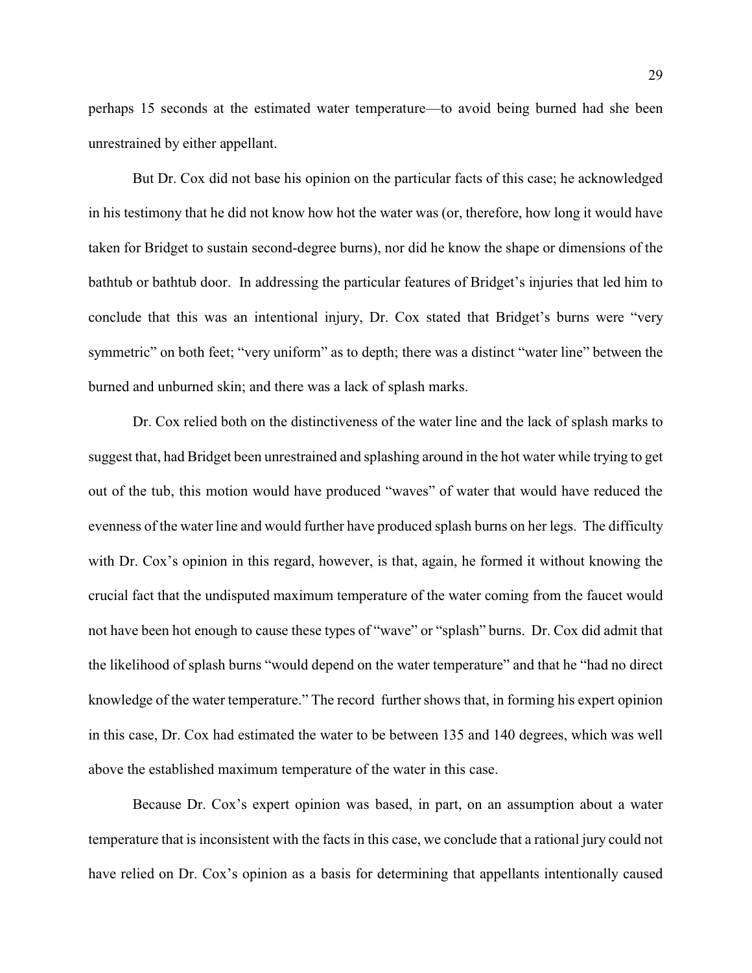perhaps 15 seconds at the estimated water temperature—to avoid being burned had she been unrestrained by either appellant.

But Dr. Cox did not base his opinion on the particular facts of this case; he acknowledged in his testimony that he did not know how hot the water was (or, therefore, how long it would have taken for Bridget to sustain second-degree burns), nor did he know the shape or dimensions of the bathtub or bathtub door. In addressing the particular features of Bridget's injuries that led him to conclude that this was an intentional injury, Dr. Cox stated that Bridget's burns were "very symmetric" on both feet; "very uniform" as to depth; there was a distinct "water line" between the burned and unburned skin; and there was a lack of splash marks.

Dr. Cox relied both on the distinctiveness of the water line and the lack of splash marks to suggest that, had Bridget been unrestrained and splashing around in the hot water while trying to get out of the tub, this motion would have produced "waves" of water that would have reduced the evenness of the water line and would further have produced splash burns on her legs. The difficulty with Dr. Cox's opinion in this regard, however, is that, again, he formed it without knowing the crucial fact that the undisputed maximum temperature of the water coming from the faucet would not have been hot enough to cause these types of "wave" or "splash" burns. Dr. Cox did admit that the likelihood of splash burns "would depend on the water temperature" and that he "had no direct knowledge of the water temperature." The record further shows that, in forming his expert opinion in this case, Dr. Cox had estimated the water to be between 135 and 140 degrees, which was well above the established maximum temperature of the water in this case.

Because Dr. Cox's expert opinion was based, in part, on an assumption about a water temperature that is inconsistent with the facts in this case, we conclude that a rational jury could not have relied on Dr. Cox's opinion as a basis for determining that appellants intentionally caused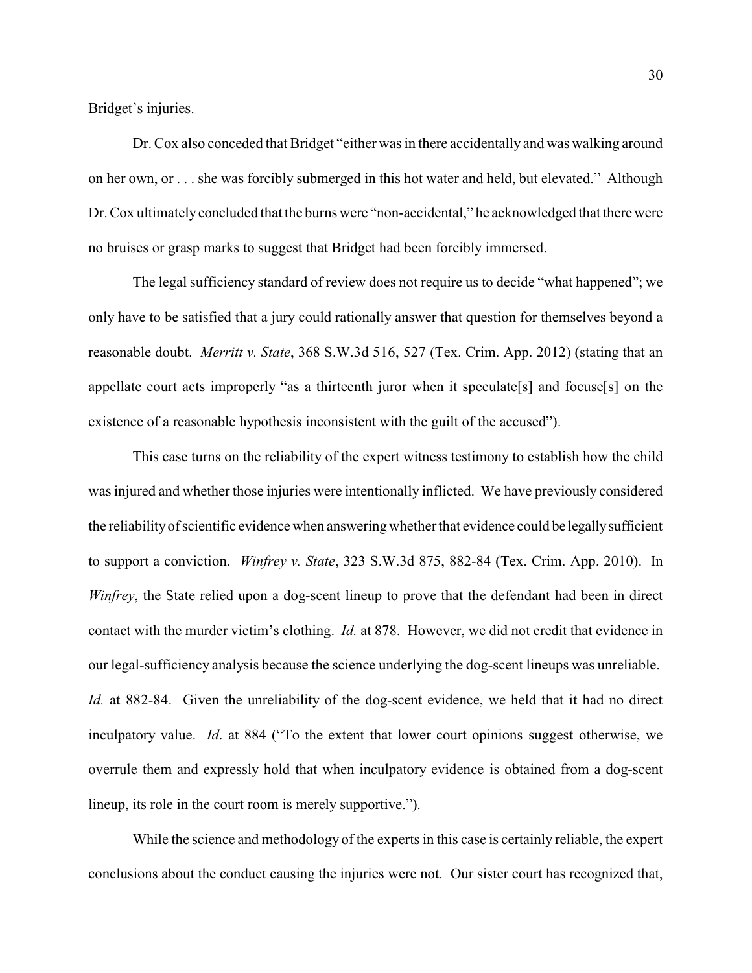Bridget's injuries.

Dr. Cox also conceded that Bridget "either was in there accidentally and was walking around on her own, or . . . she was forcibly submerged in this hot water and held, but elevated." Although Dr. Cox ultimately concluded that the burns were "non-accidental," he acknowledged that there were no bruises or grasp marks to suggest that Bridget had been forcibly immersed.

The legal sufficiency standard of review does not require us to decide "what happened"; we only have to be satisfied that a jury could rationally answer that question for themselves beyond a reasonable doubt. *Merritt v. State*, 368 S.W.3d 516, 527 (Tex. Crim. App. 2012) (stating that an appellate court acts improperly "as a thirteenth juror when it speculate[s] and focuse[s] on the existence of a reasonable hypothesis inconsistent with the guilt of the accused").

This case turns on the reliability of the expert witness testimony to establish how the child was injured and whether those injuries were intentionally inflicted. We have previously considered the reliabilityof scientific evidence when answeringwhetherthat evidence could be legallysufficient to support a conviction. *Winfrey v. State*, 323 S.W.3d 875, 882-84 (Tex. Crim. App. 2010). In *Winfrey*, the State relied upon a dog-scent lineup to prove that the defendant had been in direct contact with the murder victim's clothing. *Id.* at 878. However, we did not credit that evidence in our legal-sufficiency analysis because the science underlying the dog-scent lineups was unreliable. *Id.* at 882-84. Given the unreliability of the dog-scent evidence, we held that it had no direct inculpatory value. *Id*. at 884 ("To the extent that lower court opinions suggest otherwise, we overrule them and expressly hold that when inculpatory evidence is obtained from a dog-scent lineup, its role in the court room is merely supportive.").

While the science and methodology of the experts in this case is certainly reliable, the expert conclusions about the conduct causing the injuries were not. Our sister court has recognized that,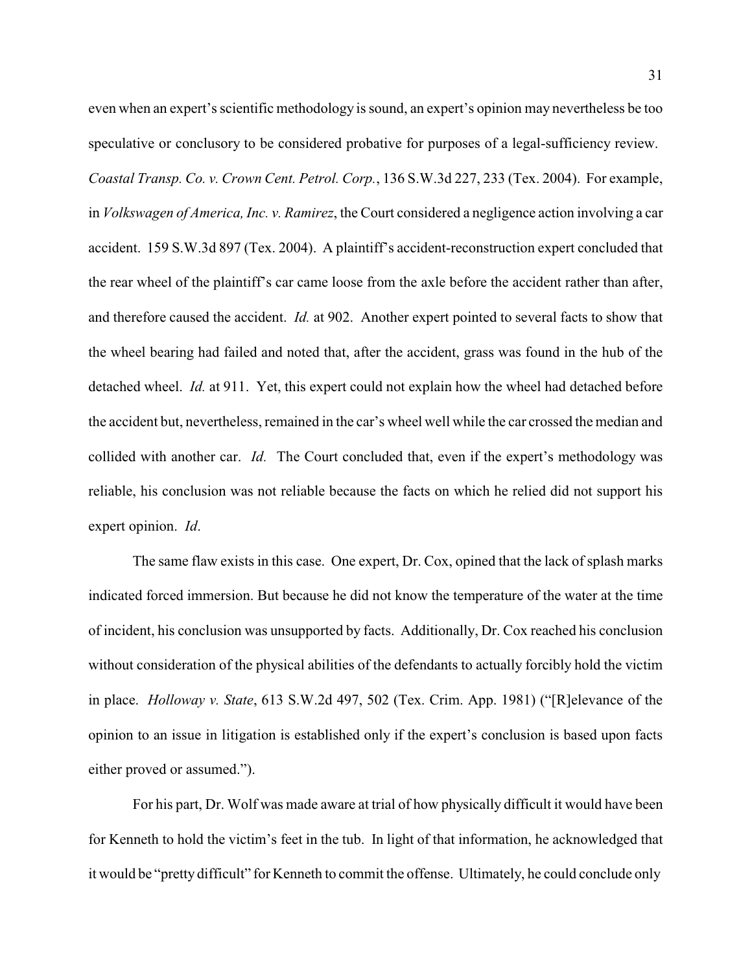even when an expert's scientific methodology is sound, an expert's opinion may nevertheless be too speculative or conclusory to be considered probative for purposes of a legal-sufficiency review. *Coastal Transp. Co. v. Crown Cent. Petrol. Corp.*, 136 S.W.3d 227, 233 (Tex. 2004). For example, in *Volkswagen of America, Inc. v. Ramirez*, the Court considered a negligence action involving a car accident. 159 S.W.3d 897 (Tex. 2004). A plaintiff's accident-reconstruction expert concluded that the rear wheel of the plaintiff's car came loose from the axle before the accident rather than after, and therefore caused the accident. *Id.* at 902. Another expert pointed to several facts to show that the wheel bearing had failed and noted that, after the accident, grass was found in the hub of the detached wheel. *Id.* at 911. Yet, this expert could not explain how the wheel had detached before the accident but, nevertheless, remained in the car's wheel well while the car crossed the median and collided with another car. *Id.* The Court concluded that, even if the expert's methodology was reliable, his conclusion was not reliable because the facts on which he relied did not support his expert opinion. *Id*.

The same flaw exists in this case. One expert, Dr. Cox, opined that the lack of splash marks indicated forced immersion. But because he did not know the temperature of the water at the time of incident, his conclusion was unsupported by facts. Additionally, Dr. Cox reached his conclusion without consideration of the physical abilities of the defendants to actually forcibly hold the victim in place. *Holloway v. State*, 613 S.W.2d 497, 502 (Tex. Crim. App. 1981) ("[R]elevance of the opinion to an issue in litigation is established only if the expert's conclusion is based upon facts either proved or assumed.").

For his part, Dr. Wolf was made aware at trial of how physically difficult it would have been for Kenneth to hold the victim's feet in the tub. In light of that information, he acknowledged that it would be "pretty difficult" for Kenneth to commit the offense. Ultimately, he could conclude only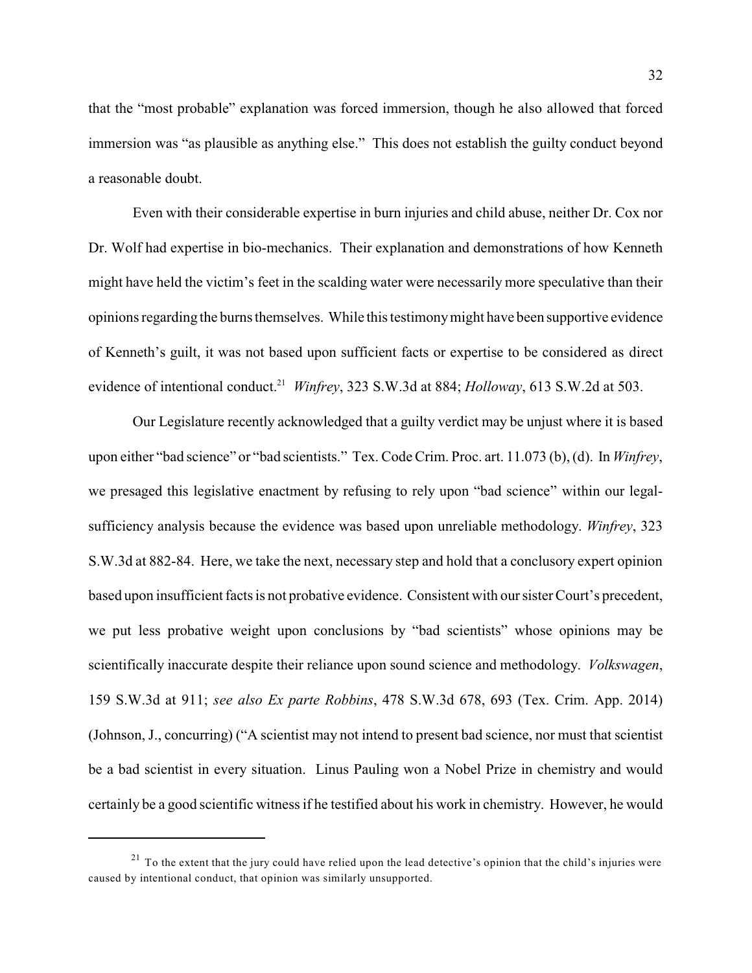that the "most probable" explanation was forced immersion, though he also allowed that forced immersion was "as plausible as anything else." This does not establish the guilty conduct beyond a reasonable doubt.

Even with their considerable expertise in burn injuries and child abuse, neither Dr. Cox nor Dr. Wolf had expertise in bio-mechanics. Their explanation and demonstrations of how Kenneth might have held the victim's feet in the scalding water were necessarily more speculative than their opinions regarding the burns themselves. While this testimonymight have been supportive evidence of Kenneth's guilt, it was not based upon sufficient facts or expertise to be considered as direct evidence of intentional conduct.<sup>21</sup> Winfrey, 323 S.W.3d at 884; *Holloway*, 613 S.W.2d at 503.

Our Legislature recently acknowledged that a guilty verdict may be unjust where it is based upon either "bad science" or "bad scientists." Tex. Code Crim. Proc. art. 11.073 (b), (d). In *Winfrey*, we presaged this legislative enactment by refusing to rely upon "bad science" within our legalsufficiency analysis because the evidence was based upon unreliable methodology. *Winfrey*, 323 S.W.3d at 882-84. Here, we take the next, necessary step and hold that a conclusory expert opinion based upon insufficient facts is not probative evidence. Consistent with our sister Court's precedent, we put less probative weight upon conclusions by "bad scientists" whose opinions may be scientifically inaccurate despite their reliance upon sound science and methodology. *Volkswagen*, 159 S.W.3d at 911; *see also Ex parte Robbins*, 478 S.W.3d 678, 693 (Tex. Crim. App. 2014) (Johnson, J., concurring) ("A scientist may not intend to present bad science, nor must that scientist be a bad scientist in every situation. Linus Pauling won a Nobel Prize in chemistry and would certainly be a good scientific witness if he testified about his work in chemistry. However, he would

 $21$  To the extent that the jury could have relied upon the lead detective's opinion that the child's injuries were caused by intentional conduct, that opinion was similarly unsupported.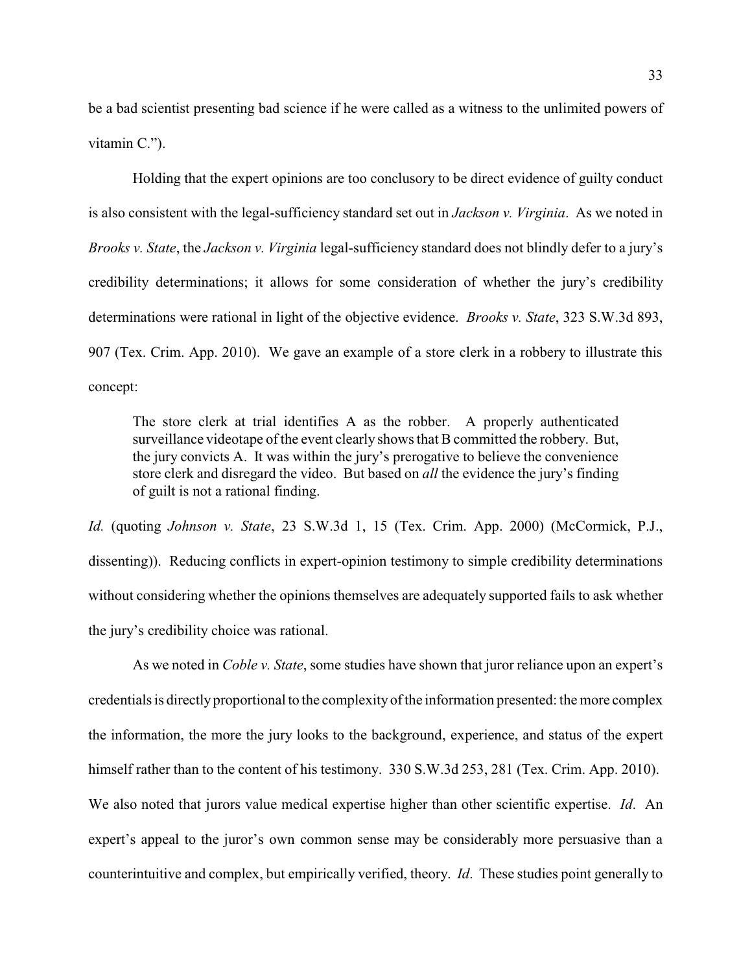be a bad scientist presenting bad science if he were called as a witness to the unlimited powers of vitamin C.").

Holding that the expert opinions are too conclusory to be direct evidence of guilty conduct is also consistent with the legal-sufficiency standard set out in *Jackson v. Virginia*. As we noted in *Brooks v. State*, the *Jackson v. Virginia* legal-sufficiency standard does not blindly defer to a jury's credibility determinations; it allows for some consideration of whether the jury's credibility determinations were rational in light of the objective evidence. *Brooks v. State*, 323 S.W.3d 893, 907 (Tex. Crim. App. 2010). We gave an example of a store clerk in a robbery to illustrate this concept:

The store clerk at trial identifies A as the robber. A properly authenticated surveillance videotape of the event clearly shows that B committed the robbery. But, the jury convicts A. It was within the jury's prerogative to believe the convenience store clerk and disregard the video. But based on *all* the evidence the jury's finding of guilt is not a rational finding.

*Id.* (quoting *Johnson v. State*, 23 S.W.3d 1, 15 (Tex. Crim. App. 2000) (McCormick, P.J., dissenting)). Reducing conflicts in expert-opinion testimony to simple credibility determinations without considering whether the opinions themselves are adequately supported fails to ask whether the jury's credibility choice was rational.

As we noted in *Coble v. State*, some studies have shown that juror reliance upon an expert's credentials is directlyproportional to the complexityof the information presented: the more complex the information, the more the jury looks to the background, experience, and status of the expert himself rather than to the content of his testimony. 330 S.W.3d 253, 281 (Tex. Crim. App. 2010). We also noted that jurors value medical expertise higher than other scientific expertise. *Id*. An expert's appeal to the juror's own common sense may be considerably more persuasive than a counterintuitive and complex, but empirically verified, theory. *Id*. These studies point generally to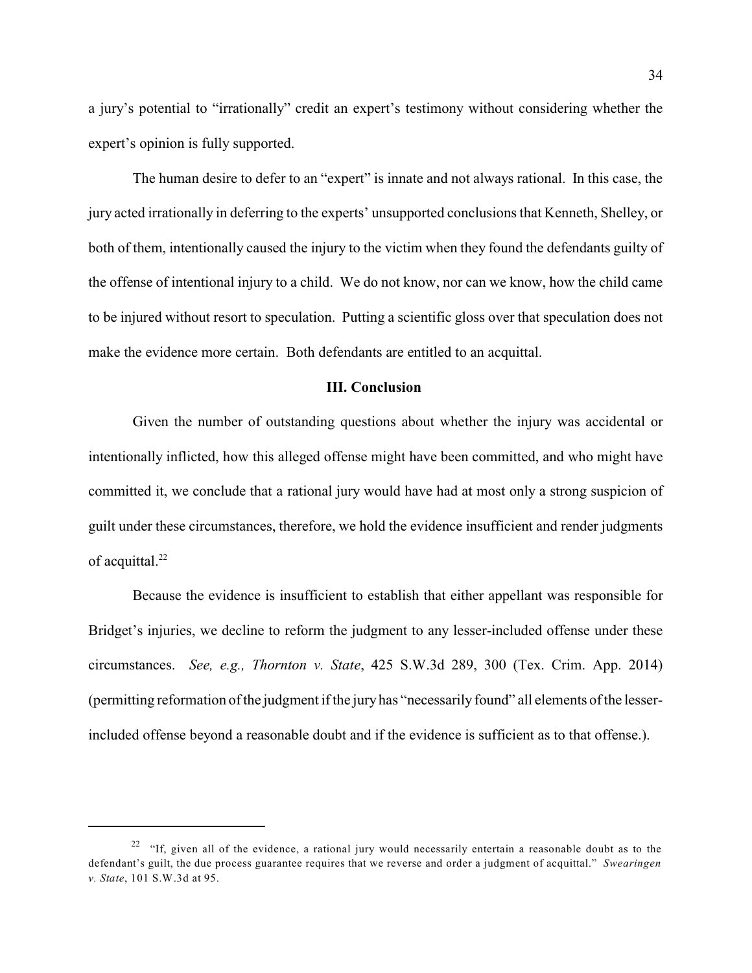a jury's potential to "irrationally" credit an expert's testimony without considering whether the expert's opinion is fully supported.

The human desire to defer to an "expert" is innate and not always rational. In this case, the jury acted irrationally in deferring to the experts' unsupported conclusions that Kenneth, Shelley, or both of them, intentionally caused the injury to the victim when they found the defendants guilty of the offense of intentional injury to a child. We do not know, nor can we know, how the child came to be injured without resort to speculation. Putting a scientific gloss over that speculation does not make the evidence more certain. Both defendants are entitled to an acquittal.

#### **III. Conclusion**

Given the number of outstanding questions about whether the injury was accidental or intentionally inflicted, how this alleged offense might have been committed, and who might have committed it, we conclude that a rational jury would have had at most only a strong suspicion of guilt under these circumstances, therefore, we hold the evidence insufficient and render judgments of acquittal.<sup>22</sup>

Because the evidence is insufficient to establish that either appellant was responsible for Bridget's injuries, we decline to reform the judgment to any lesser-included offense under these circumstances. *See, e.g., Thornton v. State*, 425 S.W.3d 289, 300 (Tex. Crim. App. 2014) (permitting reformation of the judgment if the juryhas "necessarily found" all elements of the lesserincluded offense beyond a reasonable doubt and if the evidence is sufficient as to that offense.).

<sup>&</sup>lt;sup>22</sup> "If, given all of the evidence, a rational jury would necessarily entertain a reasonable doubt as to the defendant's guilt, the due process guarantee requires that we reverse and order a judgment of acquittal." *Swearingen v. State*, 101 S.W.3d at 95.